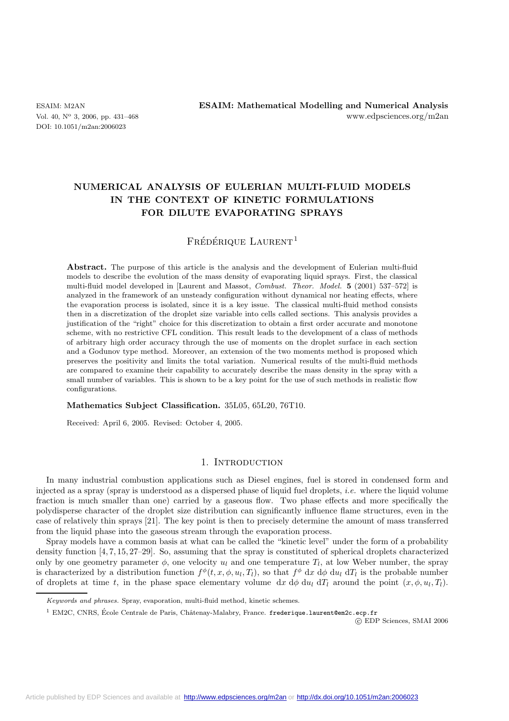DOI: 10.1051/m2an:2006023

# **NUMERICAL ANALYSIS OF EULERIAN MULTI-FLUID MODELS IN THE CONTEXT OF KINETIC FORMULATIONS FOR DILUTE EVAPORATING SPRAYS**

# $F$ rédérique Laurent<sup>1</sup>

Abstract. The purpose of this article is the analysis and the development of Eulerian multi-fluid models to describe the evolution of the mass density of evaporating liquid sprays. First, the classical multi-fluid model developed in [Laurent and Massot, *Combust. Theor. Model.* **5** (2001) 537–572] is analyzed in the framework of an unsteady configuration without dynamical nor heating effects, where the evaporation process is isolated, since it is a key issue. The classical multi-fluid method consists then in a discretization of the droplet size variable into cells called sections. This analysis provides a justification of the "right" choice for this discretization to obtain a first order accurate and monotone scheme, with no restrictive CFL condition. This result leads to the development of a class of methods of arbitrary high order accuracy through the use of moments on the droplet surface in each section and a Godunov type method. Moreover, an extension of the two moments method is proposed which preserves the positivity and limits the total variation. Numerical results of the multi-fluid methods are compared to examine their capability to accurately describe the mass density in the spray with a small number of variables. This is shown to be a key point for the use of such methods in realistic flow configurations.

#### **Mathematics Subject Classification.** 35L05, 65L20, 76T10.

Received: April 6, 2005. Revised: October 4, 2005.

# 1. INTRODUCTION

In many industrial combustion applications such as Diesel engines, fuel is stored in condensed form and injected as a spray (spray is understood as a dispersed phase of liquid fuel droplets, *i.e.* where the liquid volume fraction is much smaller than one) carried by a gaseous flow. Two phase effects and more specifically the polydisperse character of the droplet size distribution can significantly influence flame structures, even in the case of relatively thin sprays [21]. The key point is then to precisely determine the amount of mass transferred from the liquid phase into the gaseous stream through the evaporation process.

Spray models have a common basis at what can be called the "kinetic level" under the form of a probability density function [4, 7, 15, 27–29]. So, assuming that the spray is constituted of spherical droplets characterized only by one geometry parameter  $\phi$ , one velocity  $u_l$  and one temperature  $T_l$ , at low Weber number, the spray is characterized by a distribution function  $f^{\phi}(t, x, \phi, u_l, T_l)$ , so that  $f^{\phi}$  dx  $d\phi$  du<sub>l</sub> dT<sub>l</sub> is the probable number of droplets at time t, in the phase space elementary volume dx  $d\phi du_l dT_l$  around the point  $(x, \phi, u_l, T_l)$ .

Keywords and phrases. Spray, evaporation, multi-fluid method, kinetic schemes.

 $1$  EM2C, CNRS, École Centrale de Paris, Châtenay-Malabry, France. frederique.laurent@em2c.ecp.fr

c EDP Sciences, SMAI 2006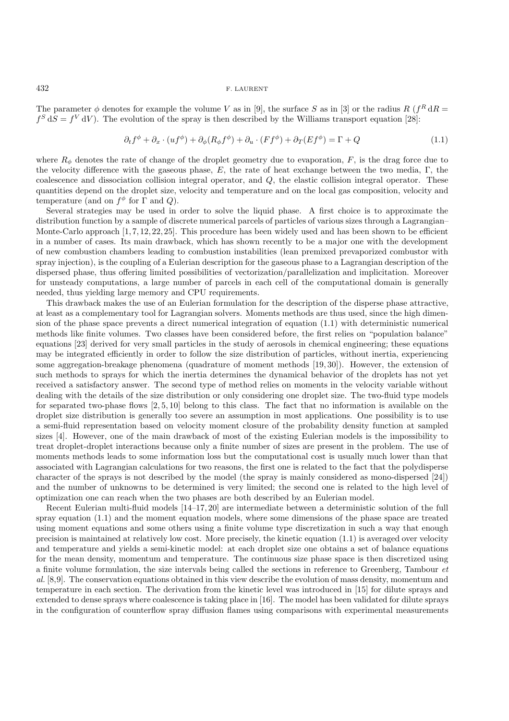The parameter  $\phi$  denotes for example the volume V as in [9], the surface S as in [3] or the radius R ( $f<sup>R</sup> dR$ )  $f^S dS = f^V dV$ . The evolution of the spray is then described by the Williams transport equation [28]:

$$
\partial_t f^{\phi} + \partial_x \cdot (uf^{\phi}) + \partial_{\phi} (R_{\phi} f^{\phi}) + \partial_u \cdot (F f^{\phi}) + \partial_T (E f^{\phi}) = \Gamma + Q \tag{1.1}
$$

where  $R_{\phi}$  denotes the rate of change of the droplet geometry due to evaporation, F, is the drag force due to the velocity difference with the gaseous phase, E, the rate of heat exchange between the two media,  $\Gamma$ , the coalescence and dissociation collision integral operator, and Q, the elastic collision integral operator. These quantities depend on the droplet size, velocity and temperature and on the local gas composition, velocity and temperature (and on  $f^{\phi}$  for  $\Gamma$  and  $Q$ ).

Several strategies may be used in order to solve the liquid phase. A first choice is to approximate the distribution function by a sample of discrete numerical parcels of particles of various sizes through a Lagrangian– Monte-Carlo approach [1, 7, 12, 22, 25]. This procedure has been widely used and has been shown to be efficient in a number of cases. Its main drawback, which has shown recently to be a major one with the development of new combustion chambers leading to combustion instabilities (lean premixed prevaporized combustor with spray injection), is the coupling of a Eulerian description for the gaseous phase to a Lagrangian description of the dispersed phase, thus offering limited possibilities of vectorization/parallelization and implicitation. Moreover for unsteady computations, a large number of parcels in each cell of the computational domain is generally needed, thus yielding large memory and CPU requirements.

This drawback makes the use of an Eulerian formulation for the description of the disperse phase attractive, at least as a complementary tool for Lagrangian solvers. Moments methods are thus used, since the high dimension of the phase space prevents a direct numerical integration of equation (1.1) with deterministic numerical methods like finite volumes. Two classes have been considered before, the first relies on "population balance" equations [23] derived for very small particles in the study of aerosols in chemical engineering; these equations may be integrated efficiently in order to follow the size distribution of particles, without inertia, experiencing some aggregation-breakage phenomena (quadrature of moment methods [19, 30]). However, the extension of such methods to sprays for which the inertia determines the dynamical behavior of the droplets has not yet received a satisfactory answer. The second type of method relies on moments in the velocity variable without dealing with the details of the size distribution or only considering one droplet size. The two-fluid type models for separated two-phase flows [2, 5, 10] belong to this class. The fact that no information is available on the droplet size distribution is generally too severe an assumption in most applications. One possibility is to use a semi-fluid representation based on velocity moment closure of the probability density function at sampled sizes [4]. However, one of the main drawback of most of the existing Eulerian models is the impossibility to treat droplet-droplet interactions because only a finite number of sizes are present in the problem. The use of moments methods leads to some information loss but the computational cost is usually much lower than that associated with Lagrangian calculations for two reasons, the first one is related to the fact that the polydisperse character of the sprays is not described by the model (the spray is mainly considered as mono-dispersed [24]) and the number of unknowns to be determined is very limited; the second one is related to the high level of optimization one can reach when the two phases are both described by an Eulerian model.

Recent Eulerian multi-fluid models [14–17, 20] are intermediate between a deterministic solution of the full spray equation (1.1) and the moment equation models, where some dimensions of the phase space are treated using moment equations and some others using a finite volume type discretization in such a way that enough precision is maintained at relatively low cost. More precisely, the kinetic equation (1.1) is averaged over velocity and temperature and yields a semi-kinetic model: at each droplet size one obtains a set of balance equations for the mean density, momentum and temperature. The continuous size phase space is then discretized using a finite volume formulation, the size intervals being called the sections in reference to Greenberg, Tambour *et al.* [8,9]. The conservation equations obtained in this view describe the evolution of mass density, momentum and temperature in each section. The derivation from the kinetic level was introduced in [15] for dilute sprays and extended to dense sprays where coalescence is taking place in [16]. The model has been validated for dilute sprays in the configuration of counterflow spray diffusion flames using comparisons with experimental measurements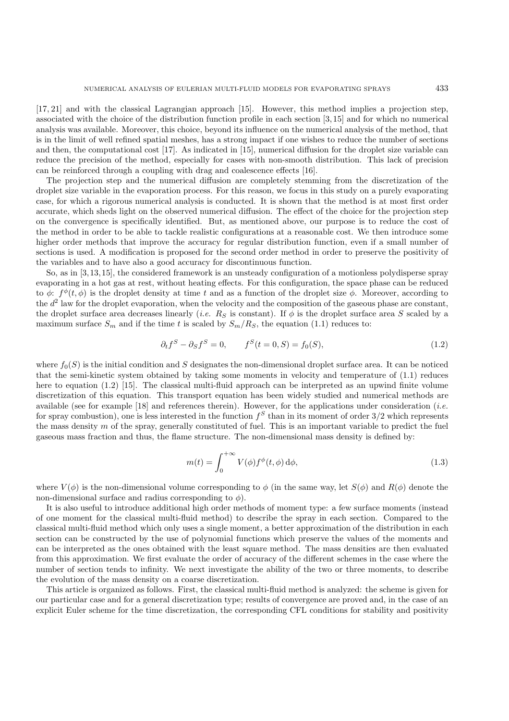[17, 21] and with the classical Lagrangian approach [15]. However, this method implies a projection step, associated with the choice of the distribution function profile in each section [3, 15] and for which no numerical analysis was available. Moreover, this choice, beyond its influence on the numerical analysis of the method, that is in the limit of well refined spatial meshes, has a strong impact if one wishes to reduce the number of sections and then, the computational cost [17]. As indicated in [15], numerical diffusion for the droplet size variable can reduce the precision of the method, especially for cases with non-smooth distribution. This lack of precision can be reinforced through a coupling with drag and coalescence effects [16].

The projection step and the numerical diffusion are completely stemming from the discretization of the droplet size variable in the evaporation process. For this reason, we focus in this study on a purely evaporating case, for which a rigorous numerical analysis is conducted. It is shown that the method is at most first order accurate, which sheds light on the observed numerical diffusion. The effect of the choice for the projection step on the convergence is specifically identified. But, as mentioned above, our purpose is to reduce the cost of the method in order to be able to tackle realistic configurations at a reasonable cost. We then introduce some higher order methods that improve the accuracy for regular distribution function, even if a small number of sections is used. A modification is proposed for the second order method in order to preserve the positivity of the variables and to have also a good accuracy for discontinuous function.

So, as in [3,13,15], the considered framework is an unsteady configuration of a motionless polydisperse spray evaporating in a hot gas at rest, without heating effects. For this configuration, the space phase can be reduced to  $\phi$ :  $f^{\phi}(t, \phi)$  is the droplet density at time t and as a function of the droplet size  $\phi$ . Moreover, according to the  $d^2$  law for the droplet evaporation, when the velocity and the composition of the gaseous phase are constant, the droplet surface area decreases linearly (*i.e.*  $R<sub>S</sub>$  is constant). If  $\phi$  is the droplet surface area S scaled by a maximum surface  $S_m$  and if the time t is scaled by  $S_m/R_S$ , the equation (1.1) reduces to:

$$
\partial_t f^S - \partial_S f^S = 0, \qquad f^S(t = 0, S) = f_0(S), \tag{1.2}
$$

where  $f_0(S)$  is the initial condition and S designates the non-dimensional droplet surface area. It can be noticed that the semi-kinetic system obtained by taking some moments in velocity and temperature of (1.1) reduces here to equation (1.2) [15]. The classical multi-fluid approach can be interpreted as an upwind finite volume discretization of this equation. This transport equation has been widely studied and numerical methods are available (see for example [18] and references therein). However, for the applications under consideration (*i.e.* for spray combustion), one is less interested in the function  $f<sup>S</sup>$  than in its moment of order  $3/2$  which represents the mass density  $m$  of the spray, generally constituted of fuel. This is an important variable to predict the fuel gaseous mass fraction and thus, the flame structure. The non-dimensional mass density is defined by:

$$
m(t) = \int_0^{+\infty} V(\phi) f^{\phi}(t, \phi) d\phi,
$$
\n(1.3)

where  $V(\phi)$  is the non-dimensional volume corresponding to  $\phi$  (in the same way, let  $S(\phi)$  and  $R(\phi)$  denote the non-dimensional surface and radius corresponding to  $\phi$ ).

It is also useful to introduce additional high order methods of moment type: a few surface moments (instead of one moment for the classical multi-fluid method) to describe the spray in each section. Compared to the classical multi-fluid method which only uses a single moment, a better approximation of the distribution in each section can be constructed by the use of polynomial functions which preserve the values of the moments and can be interpreted as the ones obtained with the least square method. The mass densities are then evaluated from this approximation. We first evaluate the order of accuracy of the different schemes in the case where the number of section tends to infinity. We next investigate the ability of the two or three moments, to describe the evolution of the mass density on a coarse discretization.

This article is organized as follows. First, the classical multi-fluid method is analyzed: the scheme is given for our particular case and for a general discretization type; results of convergence are proved and, in the case of an explicit Euler scheme for the time discretization, the corresponding CFL conditions for stability and positivity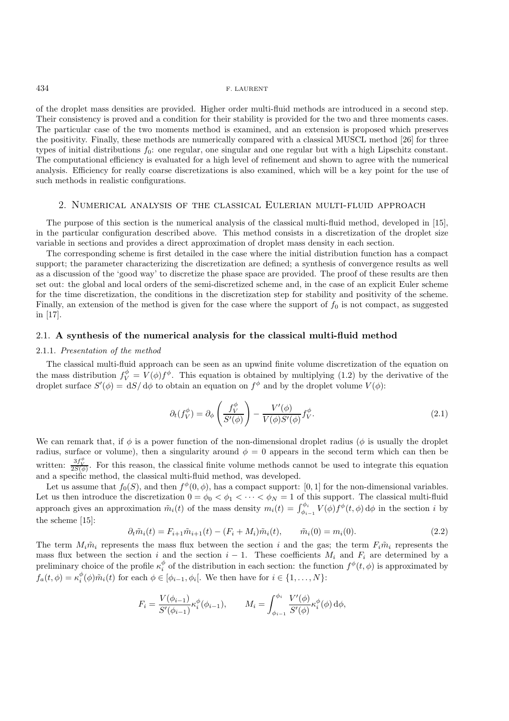of the droplet mass densities are provided. Higher order multi-fluid methods are introduced in a second step. Their consistency is proved and a condition for their stability is provided for the two and three moments cases. The particular case of the two moments method is examined, and an extension is proposed which preserves the positivity. Finally, these methods are numerically compared with a classical MUSCL method [26] for three types of initial distributions  $f_0$ : one regular, one singular and one regular but with a high Lipschitz constant. The computational efficiency is evaluated for a high level of refinement and shown to agree with the numerical analysis. Efficiency for really coarse discretizations is also examined, which will be a key point for the use of such methods in realistic configurations.

## 2. Numerical analysis of the classical Eulerian multi-fluid approach

The purpose of this section is the numerical analysis of the classical multi-fluid method, developed in [15], in the particular configuration described above. This method consists in a discretization of the droplet size variable in sections and provides a direct approximation of droplet mass density in each section.

The corresponding scheme is first detailed in the case where the initial distribution function has a compact support; the parameter characterizing the discretization are defined; a synthesis of convergence results as well as a discussion of the 'good way' to discretize the phase space are provided. The proof of these results are then set out: the global and local orders of the semi-discretized scheme and, in the case of an explicit Euler scheme for the time discretization, the conditions in the discretization step for stability and positivity of the scheme. Finally, an extension of the method is given for the case where the support of  $f_0$  is not compact, as suggested in [17].

### 2.1. **A synthesis of the numerical analysis for the classical multi-fluid method**

## 2.1.1. *Presentation of the method*

The classical multi-fluid approach can be seen as an upwind finite volume discretization of the equation on the mass distribution  $f_V^{\phi} = V(\phi) f^{\phi}$ . This equation is obtained by multiplying (1.2) by the derivative of the droplet surface  $S'(\phi) = dS/d\phi$  to obtain an equation on  $f^{\phi}$  and by the droplet volume  $V(\phi)$ :

$$
\partial_t(f_V^{\phi}) = \partial_{\phi} \left( \frac{f_V^{\phi}}{S'(\phi)} \right) - \frac{V'(\phi)}{V(\phi)S'(\phi)} f_V^{\phi}.
$$
\n(2.1)

We can remark that, if  $\phi$  is a power function of the non-dimensional droplet radius ( $\phi$  is usually the droplet radius, surface or volume), then a singularity around  $\phi = 0$  appears in the second term which can then be written:  $\frac{3f_V^{\phi}}{2S(\phi)}$ . For this reason, the classical finite volume methods cannot be used to integrate this equation and a specific method, the classical multi-fluid method, was developed.

Let us assume that  $f_0(S)$ , and then  $f^{\phi}(0, \phi)$ , has a compact support: [0, 1] for the non-dimensional variables. Let us then introduce the discretization  $0 = \phi_0 < \phi_1 < \cdots < \phi_N = 1$  of this support. The classical multi-fluid approach gives an approximation  $\tilde{m}_i(t)$  of the mass density  $m_i(t) = \int_{\phi_{i-1}}^{\phi_i} V(\phi) f^{\phi}(t, \phi) d\phi$  in the section i by the scheme [15]:

$$
\partial_t \tilde{m}_i(t) = F_{i+1} \tilde{m}_{i+1}(t) - (F_i + M_i) \tilde{m}_i(t), \qquad \tilde{m}_i(0) = m_i(0). \tag{2.2}
$$

The term  $M_i\tilde{m}_i$  represents the mass flux between the section i and the gas; the term  $F_i\tilde{m}_i$  represents the mass flux between the section i and the section  $i - 1$ . These coefficients  $M_i$  and  $F_i$  are determined by a preliminary choice of the profile  $\kappa_i^{\phi}$  of the distribution in each section: the function  $f^{\phi}(t, \phi)$  is approximated by  $f_a(t,\phi) = \kappa_i^{\phi}(\phi)\tilde{m}_i(t)$  for each  $\phi \in [\phi_{i-1}, \phi_i]$ . We then have for  $i \in \{1, ..., N\}$ :

$$
F_i = \frac{V(\phi_{i-1})}{S'(\phi_{i-1})} \kappa_i^{\phi}(\phi_{i-1}), \qquad M_i = \int_{\phi_{i-1}}^{\phi_i} \frac{V'(\phi)}{S'(\phi)} \kappa_i^{\phi}(\phi) d\phi,
$$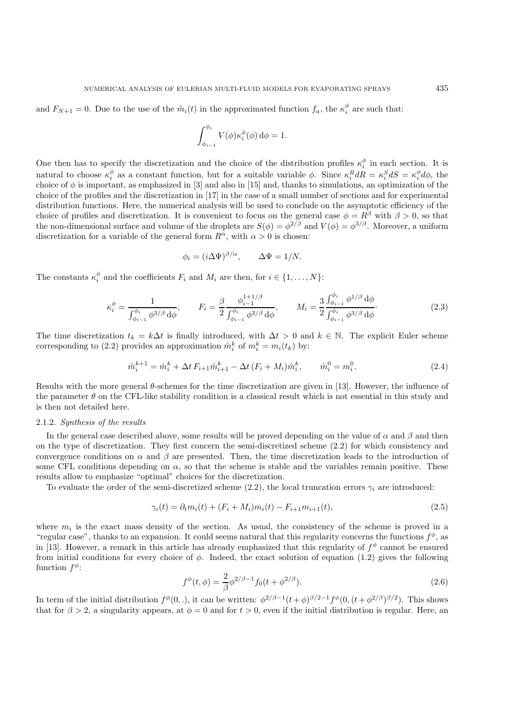and  $F_{N+1} = 0$ . Due to the use of the  $\tilde{m}_i(t)$  in the approximated function  $f_a$ , the  $\kappa_i^{\phi}$  are such that:

$$
\int_{\phi_{i-1}}^{\phi_i} V(\phi) \kappa_i^{\phi}(\phi) d\phi = 1.
$$

One then has to specify the discretization and the choice of the distribution profiles  $\kappa_i^{\phi}$  in each section. It is natural to choose  $\kappa_i^{\phi}$  as a constant function, but for a suitable variable  $\phi$ . Since  $\kappa_i^R dR = \kappa_i^S dS = \kappa_i^{\phi} d\phi$ , the choice of  $\phi$  is important, as emphasized in [3] and also in [15] and, thanks to simulations, an optimization of the choice of the profiles and the discretization in [17] in the case of a small number of sections and for experimental distribution functions. Here, the numerical analysis will be used to conclude on the asymptotic efficiency of the choice of profiles and discretization. It is convenient to focus on the general case  $\phi = R^{\beta}$  with  $\beta > 0$ , so that the non-dimensional surface and volume of the droplets are  $S(\phi) = \phi^{2/\beta}$  and  $V(\phi) = \phi^{3/\beta}$ . Moreover, a uniform discretization for a variable of the general form  $R^{\alpha}$ , with  $\alpha > 0$  is chosen:

$$
\phi_i = (i\Delta\Psi)^{\beta/\alpha}, \qquad \Delta\Psi = 1/N.
$$

The constants  $\kappa_i^{\phi}$  and the coefficients  $F_i$  and  $M_i$  are then, for  $i \in \{1, ..., N\}$ :

$$
\kappa_i^{\phi} = \frac{1}{\int_{\phi_{i-1}}^{\phi_i} \phi^{3/\beta} d\phi}, \qquad F_i = \frac{\beta}{2} \frac{\phi_{i-1}^{1+1/\beta}}{\int_{\phi_{i-1}}^{\phi_i} \phi^{3/\beta} d\phi}, \qquad M_i = \frac{3}{2} \frac{\int_{\phi_{i-1}}^{\phi_i} \phi^{1/\beta} d\phi}{\int_{\phi_{i-1}}^{\phi_i} \phi^{3/\beta} d\phi}.
$$
 (2.3)

The time discretization  $t_k = k\Delta t$  is finally introduced, with  $\Delta t > 0$  and  $k \in \mathbb{N}$ . The explicit Euler scheme corresponding to (2.2) provides an approximation  $\hat{m}_i^k$  of  $m_i^k = m_i(t_k)$  by:

$$
\hat{m}_i^{k+1} = \hat{m}_i^k + \Delta t \, F_{i+1} \hat{m}_{i+1}^k - \Delta t \, (F_i + M_i) \hat{m}_i^k, \qquad \hat{m}_i^0 = m_i^0. \tag{2.4}
$$

Results with the more general  $\theta$ -schemes for the time discretization are given in [13]. However, the influence of the parameter  $\theta$  on the CFL-like stability condition is a classical result which is not essential in this study and is then not detailed here.

#### 2.1.2. *Synthesis of the results*

In the general case described above, some results will be proved depending on the value of  $\alpha$  and  $\beta$  and then on the type of discretization. They first concern the semi-discretized scheme (2.2) for which consistency and convergence conditions on  $\alpha$  and  $\beta$  are presented. Then, the time discretization leads to the introduction of some CFL conditions depending on  $\alpha$ , so that the scheme is stable and the variables remain positive. These results allow to emphasize "optimal" choices for the discretization.

To evaluate the order of the semi-discretized scheme (2.2), the local truncation errors  $\gamma_i$  are introduced:

$$
\gamma_i(t) = \partial_t m_i(t) + (F_i + M_i)m_i(t) - F_{i+1}m_{i+1}(t),\tag{2.5}
$$

where  $m_i$  is the exact mass density of the section. As usual, the consistency of the scheme is proved in a "regular case", thanks to an expansion. It could seems natural that this regularity concerns the functions  $f^{\phi}$ , as in [13]. However, a remark in this article has already emphasized that this regularity of  $f^{\phi}$  cannot be ensured from initial conditions for every choice of  $\phi$ . Indeed, the exact solution of equation (1.2) gives the following function  $f^{\phi}$ :

$$
f^{\phi}(t,\phi) = \frac{2}{\beta} \phi^{2/\beta - 1} f_0(t + \phi^{2/\beta}).
$$
\n(2.6)

In term of the initial distribution  $f^{\phi}(0,.)$ , it can be written:  $\phi^{2/\beta-1}(t+\phi)^{\beta/2-1}f^{\phi}(0,(t+\phi^{2/\beta})^{\beta/2})$ . This shows that for  $\beta > 2$ , a singularity appears, at  $\phi = 0$  and for  $t > 0$ , even if the initial distribution is regular. Here, an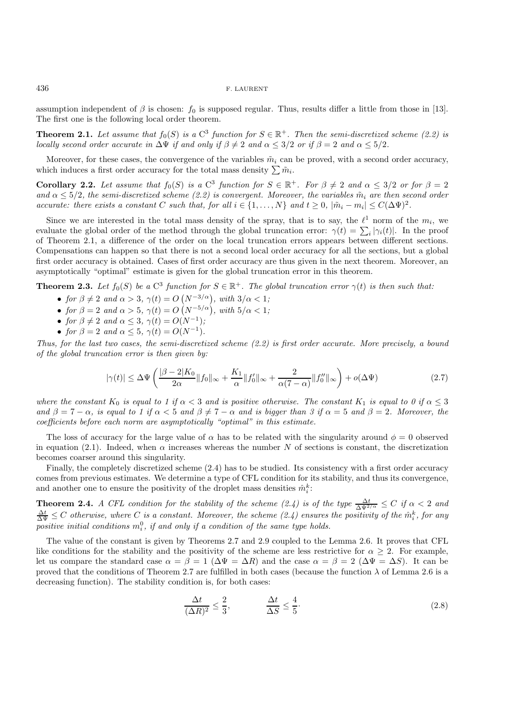assumption independent of  $\beta$  is chosen:  $f_0$  is supposed regular. Thus, results differ a little from those in [13]. The first one is the following local order theorem.

**Theorem 2.1.** *Let assume that*  $f_0(S)$  *is a* C<sup>3</sup> *function for*  $S \in \mathbb{R}^+$ *. Then the semi-discretized scheme* (2.2) *is locally second order accurate in*  $\Delta\Psi$  *if and only if*  $\beta \neq 2$  *and*  $\alpha \leq 3/2$  *or if*  $\beta = 2$  *and*  $\alpha \leq 5/2$ *.* 

Moreover, for these cases, the convergence of the variables  $\tilde{m}_i$  can be proved, with a second order accuracy, which induces a first order accuracy for the total mass density  $\sum \tilde{m}_i$ .

**Corollary 2.2.** Let assume that  $f_0(S)$  is a C<sup>3</sup> function for  $S \in \mathbb{R}^+$ . For  $\beta \neq 2$  and  $\alpha \leq 3/2$  or for  $\beta = 2$ and  $\alpha \leq 5/2$ , the semi-discretized scheme (2.2) is convergent. Moreover, the variables  $\tilde{m}_i$  are then second order *accurate: there exists a constant* C *such that, for all*  $i \in \{1, \ldots, N\}$  *and*  $t \geq 0$ ,  $|\tilde{m}_i - m_i| \leq C(\Delta \Psi)^2$ .

Since we are interested in the total mass density of the spray, that is to say, the  $\ell^1$  norm of the  $m_i$ , we evaluate the global order of the method through the global truncation error:  $\gamma(t) = \sum_i |\gamma_i(t)|$ . In the proof of Theorem 2.1, a difference of the order on the local truncation errors appears between different sections. Compensations can happen so that there is not a second local order accuracy for all the sections, but a global first order accuracy is obtained. Cases of first order accuracy are thus given in the next theorem. Moreover, an asymptotically "optimal" estimate is given for the global truncation error in this theorem.

**Theorem 2.3.** *Let*  $f_0(S)$  *be a* C<sup>3</sup> *function for*  $S \in \mathbb{R}^+$ *. The global truncation error*  $\gamma(t)$  *is then such that:* 

- *for*  $\beta \neq 2$  *and*  $\alpha > 3$ ,  $\gamma(t) = O(N^{-3/\alpha})$ , *with*  $3/\alpha < 1$ ;
- *for*  $\beta = 2$  *and*  $\alpha > 5$ ,  $\gamma(t) = O(N^{-5/\alpha})$ , *with*  $5/\alpha < 1$ ;
- *for*  $\beta \neq 2$  *and*  $\alpha \leq 3$ ,  $\gamma(t) = O(N^{-1})$ ;
- *for*  $\beta = 2$  *and*  $\alpha \le 5$ ,  $\gamma(t) = O(N^{-1})$ .

*Thus, for the last two cases, the semi-discretized scheme (2.2) is first order accurate. More precisely, a bound of the global truncation error is then given by:*

$$
|\gamma(t)| \leq \Delta \Psi \left( \frac{|\beta - 2|K_0}{2\alpha} \|f_0\|_{\infty} + \frac{K_1}{\alpha} \|f'_0\|_{\infty} + \frac{2}{\alpha(7 - \alpha)} \|f''_0\|_{\infty} \right) + o(\Delta \Psi) \tag{2.7}
$$

*where the constant*  $K_0$  *is equal to 1 if*  $\alpha < 3$  *and is positive otherwise. The constant*  $K_1$  *is equal to 0 if*  $\alpha \leq 3$  $\alpha$  and  $\beta = 7 - \alpha$ , is equal to 1 if  $\alpha < 5$  and  $\beta \neq 7 - \alpha$  and is bigger than 3 if  $\alpha = 5$  and  $\beta = 2$ . Moreover, the *coefficients before each norm are asymptotically "optimal" in this estimate.*

The loss of accuracy for the large value of  $\alpha$  has to be related with the singularity around  $\phi = 0$  observed in equation (2.1). Indeed, when  $\alpha$  increases whereas the number N of sections is constant, the discretization becomes coarser around this singularity.

Finally, the completely discretized scheme (2.4) has to be studied. Its consistency with a first order accuracy comes from previous estimates. We determine a type of CFL condition for its stability, and thus its convergence, and another one to ensure the positivity of the droplet mass densities  $\hat{m}_i^k$ :

**Theorem 2.4.** *A CFL condition for the stability of the scheme (2.4) is of the type*  $\frac{\Delta t}{\Delta \Psi^{2/\alpha}} \leq C$  *if*  $\alpha < 2$  *and*  $\frac{\Delta t}{\Delta \Psi} \leq C$  otherwise, where C is a constant. Moreover, the scheme (2.4) ensures the positivity of the  $\hat{m}_i^k$ , for any  $positive$  *initial conditions*  $m_i^0$ *, if and only if a condition of the same type holds.* 

The value of the constant is given by Theorems 2.7 and 2.9 coupled to the Lemma 2.6. It proves that CFL like conditions for the stability and the positivity of the scheme are less restrictive for  $\alpha \geq 2$ . For example, let us compare the standard case  $\alpha = \beta = 1$  ( $\Delta \Psi = \Delta R$ ) and the case  $\alpha = \beta = 2$  ( $\Delta \Psi = \Delta S$ ). It can be proved that the conditions of Theorem 2.7 are fulfilled in both cases (because the function  $\lambda$  of Lemma 2.6 is a decreasing function). The stability condition is, for both cases:

$$
\frac{\Delta t}{(\Delta R)^2} \le \frac{2}{3}, \qquad \frac{\Delta t}{\Delta S} \le \frac{4}{5}.
$$
\n(2.8)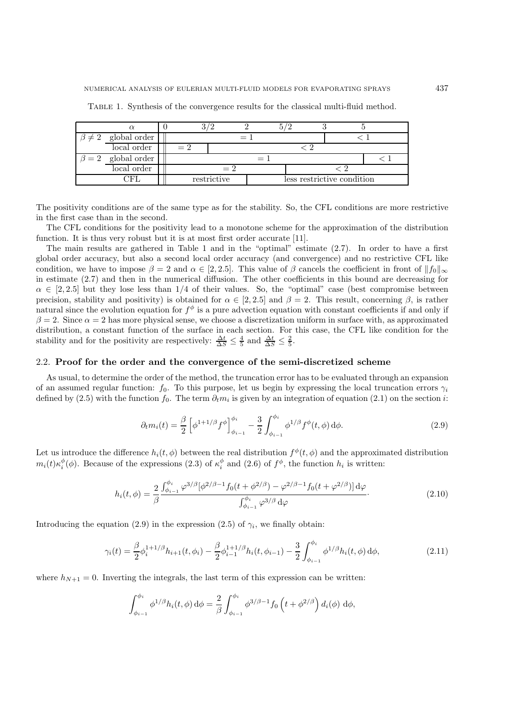| $\beta \neq 2$ global order |     |             |  |  |  |                            |  |
|-----------------------------|-----|-------------|--|--|--|----------------------------|--|
| local order                 |     |             |  |  |  |                            |  |
| $\beta = 2$ global order    | $=$ |             |  |  |  |                            |  |
| local order                 |     |             |  |  |  |                            |  |
|                             |     | restrictive |  |  |  | less restrictive condition |  |
|                             |     |             |  |  |  |                            |  |

Table 1. Synthesis of the convergence results for the classical multi-fluid method.

The positivity conditions are of the same type as for the stability. So, the CFL conditions are more restrictive in the first case than in the second.

The CFL conditions for the positivity lead to a monotone scheme for the approximation of the distribution function. It is thus very robust but it is at most first order accurate [11].

The main results are gathered in Table 1 and in the "optimal" estimate (2.7). In order to have a first global order accuracy, but also a second local order accuracy (and convergence) and no restrictive CFL like condition, we have to impose  $\beta = 2$  and  $\alpha \in [2, 2.5]$ . This value of  $\beta$  cancels the coefficient in front of  $||f_0||_{\infty}$ in estimate (2.7) and then in the numerical diffusion. The other coefficients in this bound are decreasing for  $\alpha \in [2, 2.5]$  but they lose less than 1/4 of their values. So, the "optimal" case (best compromise between precision, stability and positivity) is obtained for  $\alpha \in [2, 2.5]$  and  $\beta = 2$ . This result, concerning  $\beta$ , is rather natural since the evolution equation for  $f^{\phi}$  is a pure advection equation with constant coefficients if and only if  $\beta = 2$ . Since  $\alpha = 2$  has more physical sense, we choose a discretization uniform in surface with, as approximated distribution, a constant function of the surface in each section. For this case, the CFL like condition for the stability and for the positivity are respectively:  $\frac{\Delta t}{\Delta S} \leq \frac{4}{5}$  and  $\frac{\Delta t}{\Delta S} \leq \frac{2}{5}$ .

## 2.2. **Proof for the order and the convergence of the semi-discretized scheme**

As usual, to determine the order of the method, the truncation error has to be evaluated through an expansion of an assumed regular function:  $f_0$ . To this purpose, let us begin by expressing the local truncation errors  $\gamma_i$ defined by (2.5) with the function  $f_0$ . The term  $\partial_t m_i$  is given by an integration of equation (2.1) on the section i:

$$
\partial_t m_i(t) = \frac{\beta}{2} \left[ \phi^{1+1/\beta} f^{\phi} \right]_{\phi_{i-1}}^{\phi_i} - \frac{3}{2} \int_{\phi_{i-1}}^{\phi_i} \phi^{1/\beta} f^{\phi}(t, \phi) d\phi.
$$
 (2.9)

Let us introduce the difference  $h_i(t, \phi)$  between the real distribution  $f^{\phi}(t, \phi)$  and the approximated distribution  $m_i(t)\kappa_i^{\phi}(\phi)$ . Because of the expressions (2.3) of  $\kappa_i^{\phi}$  and (2.6) of  $f^{\phi}$ , the function  $h_i$  is written:

$$
h_i(t,\phi) = \frac{2}{\beta} \frac{\int_{\phi_{i-1}}^{\phi_i} \varphi^{3/\beta} [\phi^{2/\beta-1} f_0(t+\phi^{2/\beta}) - \varphi^{2/\beta-1} f_0(t+\varphi^{2/\beta})] d\varphi}{\int_{\phi_{i-1}}^{\phi_i} \varphi^{3/\beta} d\varphi}.
$$
(2.10)

Introducing the equation (2.9) in the expression (2.5) of  $\gamma_i$ , we finally obtain:

$$
\gamma_i(t) = \frac{\beta}{2} \phi_i^{1+1/\beta} h_{i+1}(t, \phi_i) - \frac{\beta}{2} \phi_{i-1}^{1+1/\beta} h_i(t, \phi_{i-1}) - \frac{3}{2} \int_{\phi_{i-1}}^{\phi_i} \phi^{1/\beta} h_i(t, \phi) d\phi,
$$
\n(2.11)

where  $h_{N+1} = 0$ . Inverting the integrals, the last term of this expression can be written:

$$
\int_{\phi_{i-1}}^{\phi_i} \phi^{1/\beta} h_i(t, \phi) d\phi = \frac{2}{\beta} \int_{\phi_{i-1}}^{\phi_i} \phi^{3/\beta - 1} f_0 \left( t + \phi^{2/\beta} \right) d_i(\phi) d\phi,
$$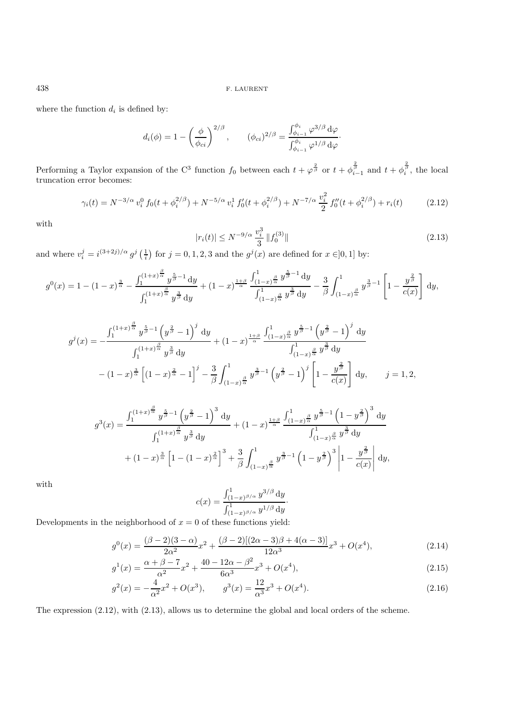where the function  $d_i$  is defined by:

$$
d_i(\phi) = 1 - \left(\frac{\phi}{\phi_{ci}}\right)^{2/\beta}, \qquad (\phi_{ci})^{2/\beta} = \frac{\int_{\phi_{i-1}}^{\phi_i} \varphi^{3/\beta} d\varphi}{\int_{\phi_{i-1}}^{\phi_i} \varphi^{1/\beta} d\varphi}.
$$

Performing a Taylor expansion of the C<sup>3</sup> function  $f_0$  between each  $t + \varphi^{\frac{2}{\beta}}$  or  $t + \varphi^{\frac{2}{\beta}}_{i-1}$  and  $t + \varphi^{\frac{2}{\beta}}_i$ , the local truncation error becomes:

$$
\gamma_i(t) = N^{-3/\alpha} v_i^0 f_0(t + \phi_i^{2/\beta}) + N^{-5/\alpha} v_i^1 f_0'(t + \phi_i^{2/\beta}) + N^{-7/\alpha} \frac{v_i^2}{2} f_0''(t + \phi_i^{2/\beta}) + r_i(t) \tag{2.12}
$$

with

$$
|r_i(t)| \le N^{-9/\alpha} \frac{v_i^3}{3} \|f_0^{(3)}\| \tag{2.13}
$$

and where  $v_i^j = i^{(3+2j)/\alpha} g^j\left(\frac{1}{i}\right)$  for  $j = 0, 1, 2, 3$  and the  $g^j(x)$  are defined for  $x \in ]0,1]$  by:

$$
g^{0}(x) = 1 - (1 - x)^{\frac{3}{\alpha}} - \frac{\int_{1}^{(1+x)^{\frac{\beta}{\alpha}}} y^{\frac{5}{\beta}-1} dy}{\int_{1}^{(1+x)^{\frac{\beta}{\alpha}}} y^{\frac{3}{\beta}} dy} + (1-x)^{\frac{1+\beta}{\alpha}} \frac{\int_{(1-x)^{\frac{\beta}{\alpha}}}^{1} y^{\frac{5}{\beta}-1} dy}{\int_{(1-x)^{\frac{\beta}{\alpha}}}^{1} y^{\frac{3}{\beta}} dy} - \frac{3}{\beta} \int_{(1-x)^{\frac{\beta}{\alpha}}}^{1} y^{\frac{3}{\beta}-1} \left[1 - \frac{y^{\frac{\beta}{\beta}}}{c(x)}\right] dy,
$$

$$
g^{j}(x) = -\frac{\int_{1}^{(1+x)^{\frac{\beta}{\alpha}}} y^{\frac{5}{\beta}-1} \left(y^{\frac{2}{\beta}} - 1\right)^{j} dy}{\int_{1}^{(1+x)^{\frac{\beta}{\alpha}}} y^{\frac{3}{\beta}} dy} + (1-x)^{\frac{1+\beta}{\alpha}} \frac{\int_{(1-x)^{\frac{\beta}{\alpha}}}^{1} y^{\frac{5}{\beta}-1} \left(y^{\frac{2}{\beta}} - 1\right)^{j} dy}{\int_{(1-x)^{\frac{\beta}{\alpha}}}^{1} y^{\frac{3}{\beta}} dy}
$$

$$
- (1-x)^{\frac{3}{\alpha}} \left[ (1-x)^{\frac{2}{\alpha}} - 1 \right]^{j} - \frac{3}{\beta} \int_{(1-x)^{\frac{\beta}{\alpha}}}^{1} y^{\frac{3}{\beta}-1} \left(y^{\frac{2}{\beta}} - 1\right)^{j} \left[ 1 - \frac{y^{\frac{2}{\beta}}}{c(x)} \right] dy, \qquad j = 1, 2,
$$

$$
g^{3}(x) = \frac{\int_{1}^{(1+x)^{\frac{\beta}{\alpha}}} y^{\frac{5}{\beta}-1} \left( y^{\frac{2}{\beta}} - 1 \right)^{3} dy}{\int_{1}^{(1+x)^{\frac{\beta}{\alpha}}} y^{\frac{3}{\beta}} dy} + (1-x)^{\frac{1+\beta}{\alpha}} \frac{\int_{(1-x)^{\frac{\beta}{\alpha}}}^{1} y^{\frac{5}{\beta}-1} \left( 1 - y^{\frac{2}{\beta}} \right)^{3} dy}{\int_{(1-x)^{\frac{\beta}{\alpha}}}^{1} y^{\frac{3}{\beta}} dy} + (1-x)^{\frac{3}{\alpha}} \left[ 1 - (1-x)^{\frac{2}{\alpha}} \right]^{3} + \frac{3}{\beta} \int_{(1-x)^{\frac{\beta}{\alpha}}}^{1} y^{\frac{3}{\beta}-1} \left( 1 - y^{\frac{2}{\beta}} \right)^{3} \left| 1 - \frac{y^{\frac{2}{\beta}}}{c(x)} \right| dy,
$$

with

$$
c(x) = \frac{\int_{(1-x)^{\beta/\alpha}}^{1} y^{3/\beta} dy}{\int_{(1-x)^{\beta/\alpha}}^{1} y^{1/\beta} dy}.
$$

Developments in the neighborhood of  $x = 0$  of these functions yield:

$$
g^{0}(x) = \frac{(\beta - 2)(3 - \alpha)}{2\alpha^{2}}x^{2} + \frac{(\beta - 2)[(2\alpha - 3)\beta + 4(\alpha - 3)]}{12\alpha^{3}}x^{3} + O(x^{4}),
$$
\n(2.14)

$$
g^{1}(x) = \frac{\alpha + \beta - 7}{\alpha^{2}}x^{2} + \frac{40 - 12\alpha - \beta^{2}}{6\alpha^{3}}x^{3} + O(x^{4}),
$$
\n(2.15)

$$
g^{2}(x) = -\frac{4}{\alpha^{2}}x^{2} + O(x^{3}), \qquad g^{3}(x) = \frac{12}{\alpha^{3}}x^{3} + O(x^{4}).
$$
\n(2.16)

The expression (2.12), with (2.13), allows us to determine the global and local orders of the scheme.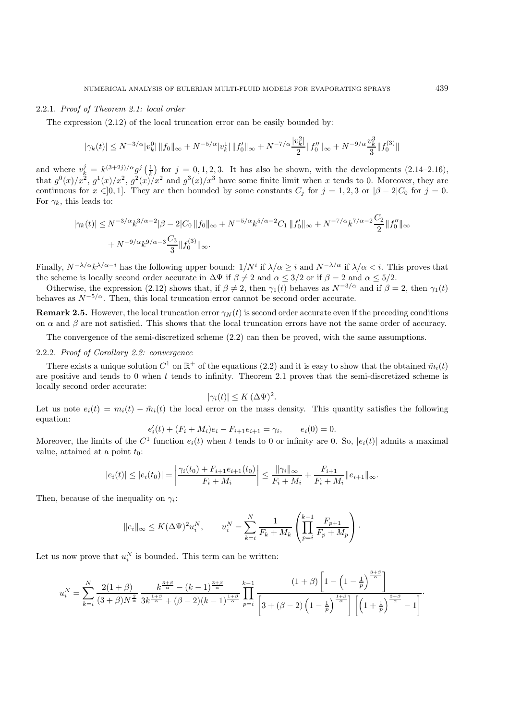# 2.2.1. *Proof of Theorem 2.1: local order*

The expression  $(2.12)$  of the local truncation error can be easily bounded by:

$$
|\gamma_k(t)| \le N^{-3/\alpha} |v_k^0| \|f_0\|_{\infty} + N^{-5/\alpha} |v_k^1| \|f_0'\|_{\infty} + N^{-7/\alpha} \frac{|v_k^2|}{2} \|f_0''\|_{\infty} + N^{-9/\alpha} \frac{v_k^3}{3} \|f_0^{(3)}\|
$$

and where  $v_k^j = k^{(3+2j)/\alpha} g^j\left(\frac{1}{k}\right)$  for  $j = 0, 1, 2, 3$ . It has also be shown, with the developments  $(2.14-2.16)$ , that  $g^{0}(x)/x^{2}$ ,  $g^{1}(x)/x^{2}$ ,  $g^{2}(x)/x^{2}$  and  $g^{3}(x)/x^{3}$  have some finite limit when x tends to 0. Moreover, they are continuous for  $x \in ]0,1]$ . They are then bounded by some constants  $C_j$  for  $j = 1,2,3$  or  $|\beta - 2|C_0$  for  $j = 0$ . For  $\gamma_k$ , this leads to:

$$
|\gamma_k(t)| \le N^{-3/\alpha} k^{3/\alpha - 2} |\beta - 2|C_0 \|f_0\|_{\infty} + N^{-5/\alpha} k^{5/\alpha - 2} C_1 \|f'_0\|_{\infty} + N^{-7/\alpha} k^{7/\alpha - 2} \frac{C_2}{2} \|f''_0\|_{\infty} + N^{-9/\alpha} k^{9/\alpha - 3} \frac{C_3}{3} \|f_0^{(3)}\|_{\infty}.
$$

Finally,  $N^{-\lambda/\alpha}k^{\lambda/\alpha-i}$  has the following upper bound:  $1/N^i$  if  $\lambda/\alpha \geq i$  and  $N^{-\lambda/\alpha}$  if  $\lambda/\alpha < i$ . This proves that the scheme is locally second order accurate in  $\Delta\Psi$  if  $\beta \neq 2$  and  $\alpha \leq 3/2$  or if  $\beta = 2$  and  $\alpha \leq 5/2$ .

Otherwise, the expression (2.12) shows that, if  $\beta \neq 2$ , then  $\gamma_1(t)$  behaves as  $N^{-3/\alpha}$  and if  $\beta = 2$ , then  $\gamma_1(t)$ behaves as  $N^{-5/\alpha}$ . Then, this local truncation error cannot be second order accurate.

**Remark 2.5.** However, the local truncation error  $\gamma_N(t)$  is second order accurate even if the preceding conditions on  $\alpha$  and  $\beta$  are not satisfied. This shows that the local truncation errors have not the same order of accuracy.

The convergence of the semi-discretized scheme (2.2) can then be proved, with the same assumptions.

# 2.2.2. *Proof of Corollary 2.2: convergence*

There exists a unique solution  $C^1$  on  $\mathbb{R}^+$  of the equations (2.2) and it is easy to show that the obtained  $\tilde{m}_i(t)$ are positive and tends to 0 when  $t$  tends to infinity. Theorem 2.1 proves that the semi-discretized scheme is locally second order accurate:

$$
|\gamma_i(t)| \le K \, (\Delta \Psi)^2.
$$

Let us note  $e_i(t) = m_i(t) - \tilde{m}_i(t)$  the local error on the mass density. This quantity satisfies the following equation:

$$
e'_{i}(t) + (F_{i} + M_{i})e_{i} - F_{i+1}e_{i+1} = \gamma_{i}, \qquad e_{i}(0) = 0.
$$

Moreover, the limits of the  $C^1$  function  $e_i(t)$  when t tends to 0 or infinity are 0. So,  $|e_i(t)|$  admits a maximal value, attained at a point  $t_0$ :

$$
|e_i(t)| \le |e_i(t_0)| = \left| \frac{\gamma_i(t_0) + F_{i+1}e_{i+1}(t_0)}{F_i + M_i} \right| \le \frac{\|\gamma_i\|_{\infty}}{F_i + M_i} + \frac{F_{i+1}}{F_i + M_i} \|e_{i+1}\|_{\infty}.
$$

Then, because of the inequality on  $\gamma_i$ :

$$
||e_i||_{\infty} \le K(\Delta \Psi)^2 u_i^N
$$
,  $u_i^N = \sum_{k=i}^N \frac{1}{F_k + M_k} \left( \prod_{p=i}^{k-1} \frac{F_{p+1}}{F_p + M_p} \right)$ .

Let us now prove that  $u_i^N$  is bounded. This term can be written:

$$
u_i^N = \sum_{k=i}^N \frac{2(1+\beta)}{(3+\beta)N^{\frac{2}{\alpha}}}\frac{k^{\frac{3+\beta}{\alpha}} - (k-1)^{\frac{3+\beta}{\alpha}}}{3k^{\frac{1+\beta}{\alpha}} + (\beta-2)(k-1)^{\frac{1+\beta}{\alpha}}}\prod_{p=i}^{k-1} \frac{(1+\beta)\left[1-\left(1-\frac{1}{p}\right)^{\frac{3+\beta}{\alpha}}\right]}{\left[3+(\beta-2)\left(1-\frac{1}{p}\right)^{\frac{1+\beta}{\alpha}}\right]\left[\left(1+\frac{1}{p}\right)^{\frac{3+\beta}{\alpha}}-1\right]}.
$$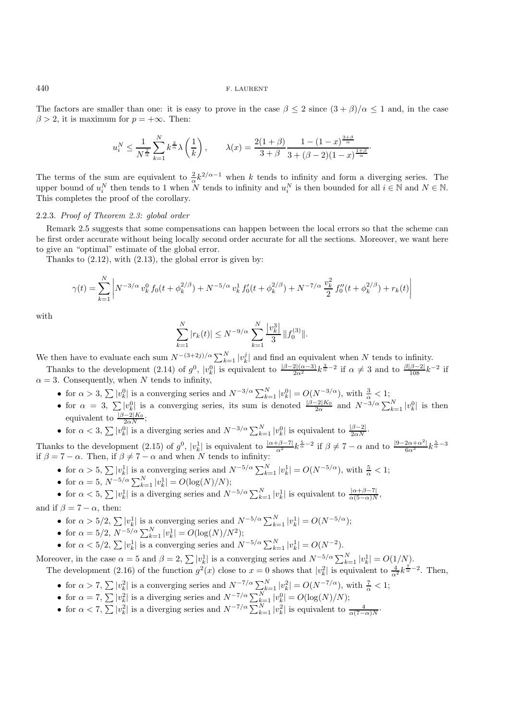The factors are smaller than one: it is easy to prove in the case  $\beta \leq 2$  since  $(3 + \beta)/\alpha \leq 1$  and, in the case  $\beta > 2$ , it is maximum for  $p = +\infty$ . Then:

$$
u_i^N \le \frac{1}{N^{\frac{2}{\alpha}}} \sum_{k=1}^N k^{\frac{2}{\alpha}} \lambda\left(\frac{1}{k}\right), \qquad \lambda(x) = \frac{2(1+\beta)}{3+\beta} \frac{1-(1-x)^{\frac{3+\beta}{\alpha}}}{3+(\beta-2)(1-x)^{\frac{1+\beta}{\alpha}}}
$$

·

The terms of the sum are equivalent to  $\frac{2}{\alpha}k^{2/\alpha-1}$  when k tends to infinity and form a diverging series. The upper bound of  $u_i^N$  then tends to 1 when N tends to infinity and  $u_i^N$  is then bounded for all  $i \in \mathbb{N}$  and  $N \in \mathbb{N}$ . This completes the proof of the corollary.

### 2.2.3. *Proof of Theorem 2.3: global order*

Remark 2.5 suggests that some compensations can happen between the local errors so that the scheme can be first order accurate without being locally second order accurate for all the sections. Moreover, we want here to give an "optimal" estimate of the global error.

Thanks to  $(2.12)$ , with  $(2.13)$ , the global error is given by:

$$
\gamma(t) = \sum_{k=1}^{N} \left| N^{-3/\alpha} v_k^0 f_0(t + \phi_k^{2/\beta}) + N^{-5/\alpha} v_k^1 f_0'(t + \phi_k^{2/\beta}) + N^{-7/\alpha} \frac{v_k^2}{2} f_0''(t + \phi_k^{2/\beta}) + r_k(t) \right|
$$

with

$$
\sum_{k=1}^{N} |r_k(t)| \le N^{-9/\alpha} \sum_{k=1}^{N} \frac{|v_k^3|}{3} ||f_0^{(3)}||.
$$

We then have to evaluate each sum  $N^{-(3+2j)/\alpha} \sum_{k=1}^{N} |v_k^j|$  and find an equivalent when N tends to infinity.

Thanks to the development (2.14) of  $g^0$ ,  $|v^0_k|$  is equivalent to  $\frac{|\beta-2|(\alpha-3)}{2\alpha^2}k^{\frac{3}{\alpha}-2}$  if  $\alpha \neq 3$  and to  $\frac{\beta|\beta-2|}{108}k^{-2}$  if  $\alpha = 3$ . Consequently, when N tends to infinity,

- for  $\alpha > 3$ ,  $\sum |v_k^0|$  is a converging series and  $N^{-3/\alpha} \sum_{k=1}^N |v_k^0| = O(N^{-3/\alpha})$ , with  $\frac{3}{\alpha} < 1$ ;
- for  $\alpha = 3$ ,  $\sum |v_k^0|$  is a converging series, its sum is denoted  $\frac{|\beta 2|K_0}{2\alpha}$  and  $N^{-3/\alpha} \sum_{k=1}^N |v_k^0|$  is then equivalent to  $\frac{|\beta-2|K_0}{2\alpha N}$ ;
- for  $\alpha < 3$ ,  $\sum |v_k^0|$  is a diverging series and  $N^{-3/\alpha} \sum_{k=1}^N |v_k^0|$  is equivalent to  $\frac{|\beta-2|}{2\alpha N}$ .

Thanks to the development (2.15) of  $g^0$ ,  $|v^1_k|$  is equivalent to  $\frac{|\alpha+\beta-7|}{\alpha^2}k^{\frac{5}{\alpha}-2}$  if  $\beta \neq 7-\alpha$  and to  $\frac{|9-2\alpha+\alpha^2|}{6\alpha^3}k^{\frac{5}{\alpha}-3}$ if  $\beta = 7 - \alpha$ . Then, if  $\beta \neq 7 - \alpha$  and when N tends to infinity:

- for  $\alpha > 5$ ,  $\sum |v_k^1|$  is a converging series and  $N^{-5/\alpha} \sum_{k=1}^N |v_k^1| = O(N^{-5/\alpha})$ , with  $\frac{5}{\alpha} < 1$ ;
- for  $\alpha = 5$ ,  $N^{-5/\alpha} \sum_{k=1}^{N} |v_k^1| = O(\log(N)/N);$

• for  $\alpha < 5$ ,  $\sum |v_k^1|$  is a diverging series and  $N^{-5/\alpha} \sum_{k=1}^N |v_k^1|$  is equivalent to  $\frac{|\alpha+\beta-7|}{\alpha(5-\alpha)N}$ ,

and if  $\beta = 7 - \alpha$ , then:

- for  $\alpha > 5/2$ ,  $\sum |v_k^1|$  is a converging series and  $N^{-5/\alpha} \sum_{k=1}^N |v_k^1| = O(N^{-5/\alpha})$ ;
- for  $\alpha = 5/2$ ,  $N^{-5/\alpha} \sum_{k=1}^{N} |v_k^1| = O(\log(N)/N^2);$
- for  $\alpha < 5/2$ ,  $\sum |v_k^1|$  is a converging series and  $N^{-5/\alpha} \sum_{k=1}^{N} |v_k^1| = O(N^{-2})$ .

Moreover, in the case  $\alpha = 5$  and  $\beta = 2$ ,  $\sum |v_k^1|$  is a converging series and  $N^{-5/\alpha} \sum_{k=1}^{N} |v_k^1| = O(1/N)$ . The development (2.16) of the function  $g^2(x)$  close to  $x=0$  shows that  $|v_k^2|$  is equivalent to  $\frac{4}{\alpha^2}k^{\frac{7}{\alpha}-2}$ . Then,

- for  $\alpha > 7$ ,  $\sum |v_k^2|$  is a converging series and  $N^{-7/\alpha} \sum_{k=1}^N |v_k^2| = O(N^{-7/\alpha})$ , with  $\frac{7}{\alpha} < 1$ ;
- for  $\alpha = 7$ ,  $\sum |v_k^2|$  is a diverging series and  $N^{-7/\alpha} \sum_{k=1}^{N} |v_k^0| = O(\log(N)/N)$ ;
- for  $\alpha < 7$ ,  $\sum |v_k^2|$  is a diverging series and  $N^{-7/\alpha} \sum_{k=1}^N |v_k^2|$  is equivalent to  $\frac{4}{\alpha(7-\alpha)N}$ .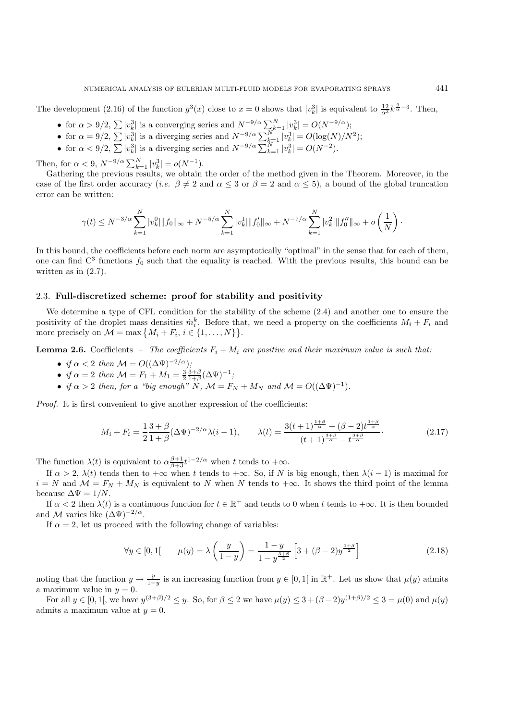The development (2.16) of the function  $g^3(x)$  close to  $x=0$  shows that  $|v^3_k|$  is equivalent to  $\frac{12}{\alpha^3}k^{\frac{9}{\alpha}-3}$ . Then,

- for  $\alpha > 9/2$ ,  $\sum |v_k^3|$  is a converging series and  $N^{-9/\alpha} \sum_{k=1}^{N} |v_k^3| = O(N^{-9/\alpha});$
- for  $\alpha = 9/2$ ,  $\sum |v_k^3|$  is a diverging series and  $N^{-9/\alpha} \sum_{k=1}^N |v_k^3| = O(\log(N)/N^2)$ ;
- for  $\alpha < 9/2$ ,  $\sum |v_k^3|$  is a diverging series and  $N^{-9/\alpha} \sum_{k=1}^{N} |v_k^3| = O(N^{-2})$ .

Then, for  $\alpha < 9$ ,  $N^{-9/\alpha} \sum_{k=1}^{N} |v_k^3| = o(N^{-1})$ .

Gathering the previous results, we obtain the order of the method given in the Theorem. Moreover, in the case of the first order accuracy (*i.e.*  $\beta \neq 2$  and  $\alpha \leq 3$  or  $\beta = 2$  and  $\alpha \leq 5$ ), a bound of the global truncation error can be written:

$$
\gamma(t) \le N^{-3/\alpha} \sum_{k=1}^N |v_k^0| \|f_0\|_{\infty} + N^{-5/\alpha} \sum_{k=1}^N |v_k^1| \|f_0'\|_{\infty} + N^{-7/\alpha} \sum_{k=1}^N |v_k^2| \|f_0''\|_{\infty} + o\left(\frac{1}{N}\right).
$$

In this bound, the coefficients before each norm are asymptotically "optimal" in the sense that for each of them, one can find  $C^3$  functions  $f_0$  such that the equality is reached. With the previous results, this bound can be written as in  $(2.7)$ .

# 2.3. **Full-discretized scheme: proof for stability and positivity**

We determine a type of CFL condition for the stability of the scheme (2.4) and another one to ensure the positivity of the droplet mass densities  $\hat{m}_i^k$ . Before that, we need a property on the coefficients  $M_i + F_i$  and more precisely on  $\mathcal{M} = \max\{M_i + F_i, i \in \{1, ..., N\}\}.$ 

**Lemma 2.6.** Coefficients – *The coefficients*  $F_i + M_i$  *are positive and their maximum value is such that:* 

- *if*  $\alpha < 2$  *then*  $\mathcal{M} = O((\Delta \Psi)^{-2/\alpha})$ *;*
- *if*  $\alpha = 2$  *then*  $\mathcal{M} = F_1 + M_1 = \frac{3}{2} \frac{3+\beta}{1+\beta} (\Delta \Psi)^{-1}$ ;
- *if*  $\alpha > 2$  *then, for a "big enough"* N,  $\mathcal{M} = F_N + M_N$  *and*  $\mathcal{M} = O((\Delta \Psi)^{-1})$ *.*

*Proof.* It is first convenient to give another expression of the coefficients:

$$
M_i + F_i = \frac{1}{2} \frac{3 + \beta}{1 + \beta} (\Delta \Psi)^{-2/\alpha} \lambda (i - 1), \qquad \lambda(t) = \frac{3(t + 1)^{\frac{1 + \beta}{\alpha}} + (\beta - 2)t^{\frac{1 + \beta}{\alpha}}}{(t + 1)^{\frac{3 + \beta}{\alpha}} - t^{\frac{3 + \beta}{\alpha}}}.
$$
(2.17)

The function  $\lambda(t)$  is equivalent to  $\alpha \frac{\beta+1}{\beta+3} t^{1-2/\alpha}$  when t tends to  $+\infty$ .

If  $\alpha > 2$ ,  $\lambda(t)$  tends then to  $+\infty$  when t tends to  $+\infty$ . So, if N is big enough, then  $\lambda(i-1)$  is maximal for  $i = N$  and  $\mathcal{M} = F_N + M_N$  is equivalent to N when N tends to  $+\infty$ . It shows the third point of the lemma because  $\Delta \Psi = 1/N$ .

If  $\alpha < 2$  then  $\lambda(t)$  is a continuous function for  $t \in \mathbb{R}^+$  and tends to 0 when t tends to  $+\infty$ . It is then bounded and M varies like  $(\Delta\Psi)^{-2/\alpha}$ .

If  $\alpha = 2$ , let us proceed with the following change of variables:

$$
\forall y \in [0, 1] \qquad \mu(y) = \lambda \left(\frac{y}{1-y}\right) = \frac{1-y}{1-y^{\frac{3+\beta}{2}}} \left[3 + (\beta - 2)y^{\frac{1+\beta}{2}}\right] \tag{2.18}
$$

noting that the function  $y \to \frac{y}{1-y}$  is an increasing function from  $y \in [0,1]$  in  $\mathbb{R}^+$ . Let us show that  $\mu(y)$  admits a maximum value in  $y = 0$ .

For all  $y \in [0,1]$ , we have  $y^{(3+\beta)/2} \leq y$ . So, for  $\beta \leq 2$  we have  $\mu(y) \leq 3+(\beta-2)y^{(1+\beta)/2} \leq 3=\mu(0)$  and  $\mu(y)$ admits a maximum value at  $y = 0$ .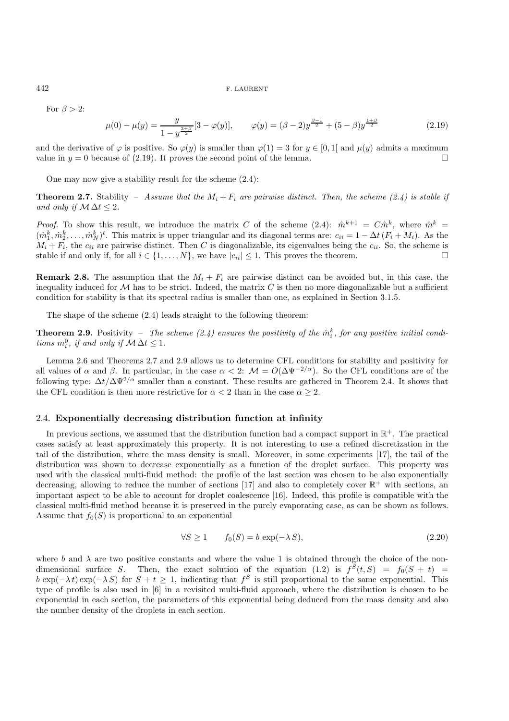For  $\beta > 2$ :

$$
\mu(0) - \mu(y) = \frac{y}{1 - y^{\frac{3+\beta}{2}}}[3 - \varphi(y)], \qquad \varphi(y) = (\beta - 2)y^{\frac{\beta - 1}{2}} + (5 - \beta)y^{\frac{1+\beta}{2}} \tag{2.19}
$$

and the derivative of  $\varphi$  is positive. So  $\varphi(y)$  is smaller than  $\varphi(1) = 3$  for  $y \in [0, 1]$  and  $\mu(y)$  admits a maximum value in  $y = 0$  because of (2.19). It proves the second point of the lemma.

One may now give a stability result for the scheme (2.4):

**Theorem 2.7.** Stability – *Assume that the*  $M_i + F_i$  *are pairwise distinct. Then, the scheme (2.4) is stable if and only if*  $M \Delta t \leq 2$ *.* 

*Proof.* To show this result, we introduce the matrix C of the scheme  $(2.4)$ :  $\hat{m}^{k+1} = C\hat{m}^k$ , where  $\hat{m}^k =$  $(\hat{m}_1^k, \hat{m}_2^k, \dots, \hat{m}_N^k)^t$ . This matrix is upper triangular and its diagonal terms are:  $c_{ii} = 1 - \Delta t (F_i + M_i)$ . As the  $M_i + F_i$ , the  $c_{ii}$  are pairwise distinct. Then C is diagonalizable, its eigenvalues being the  $c_{ii}$ . So, the scheme is stable if and only if, for all  $i \in \{1, ..., N\}$ , we have  $|c_{ii}| \leq 1$ . This proves the theorem.

**Remark 2.8.** The assumption that the  $M_i + F_i$  are pairwise distinct can be avoided but, in this case, the inequality induced for  $\mathcal M$  has to be strict. Indeed, the matrix  $C$  is then no more diagonalizable but a sufficient condition for stability is that its spectral radius is smaller than one, as explained in Section 3.1.5.

The shape of the scheme (2.4) leads straight to the following theorem:

**Theorem 2.9.** Positivity – The scheme  $(2.4)$  ensures the positivity of the  $\hat{m}_i^k$ , for any positive initial condi*tions*  $m_i^0$ *, if and only if*  $M \Delta t \leq 1$ *.* 

Lemma 2.6 and Theorems 2.7 and 2.9 allows us to determine CFL conditions for stability and positivity for all values of  $\alpha$  and  $\beta$ . In particular, in the case  $\alpha < 2$ :  $\mathcal{M} = O(\Delta \Psi^{-2/\alpha})$ . So the CFL conditions are of the following type:  $\Delta t/\Delta \Psi^{2/\alpha}$  smaller than a constant. These results are gathered in Theorem 2.4. It shows that the CFL condition is then more restrictive for  $\alpha < 2$  than in the case  $\alpha > 2$ .

# 2.4. **Exponentially decreasing distribution function at infinity**

In previous sections, we assumed that the distribution function had a compact support in  $\mathbb{R}^+$ . The practical cases satisfy at least approximately this property. It is not interesting to use a refined discretization in the tail of the distribution, where the mass density is small. Moreover, in some experiments [17], the tail of the distribution was shown to decrease exponentially as a function of the droplet surface. This property was used with the classical multi-fluid method: the profile of the last section was chosen to be also exponentially decreasing, allowing to reduce the number of sections [17] and also to completely cover  $\mathbb{R}^+$  with sections, an important aspect to be able to account for droplet coalescence [16]. Indeed, this profile is compatible with the classical multi-fluid method because it is preserved in the purely evaporating case, as can be shown as follows. Assume that  $f_0(S)$  is proportional to an exponential

$$
\forall S \ge 1 \qquad f_0(S) = b \exp(-\lambda S), \tag{2.20}
$$

where b and  $\lambda$  are two positive constants and where the value 1 is obtained through the choice of the nondimensional surface S. Then, the exact solution of the equation (1.2) is  $f^S(t, S) = f_0(S + t)$  $b \exp(-\lambda t) \exp(-\lambda S)$  for  $S + t \geq 1$ , indicating that  $f^S$  is still proportional to the same exponential. This type of profile is also used in [6] in a revisited multi-fluid approach, where the distribution is chosen to be exponential in each section, the parameters of this exponential being deduced from the mass density and also the number density of the droplets in each section.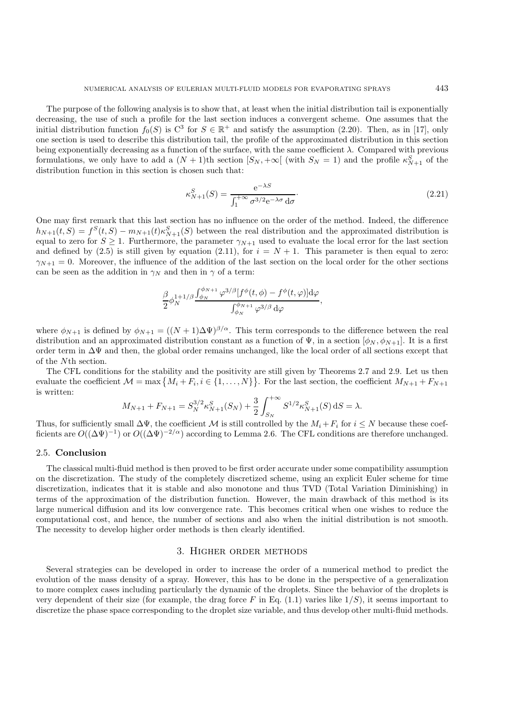The purpose of the following analysis is to show that, at least when the initial distribution tail is exponentially decreasing, the use of such a profile for the last section induces a convergent scheme. One assumes that the initial distribution function  $f_0(S)$  is  $C^3$  for  $S \in \mathbb{R}^+$  and satisfy the assumption (2.20). Then, as in [17], only one section is used to describe this distribution tail, the profile of the approximated distribution in this section being exponentially decreasing as a function of the surface, with the same coefficient  $\lambda$ . Compared with previous formulations, we only have to add a  $(N+1)$ th section  $[S_N, +\infty[$  (with  $S_N = 1)$  and the profile  $\kappa_{N+1}^S$  of the distribution function in this section is chosen such that:

$$
\kappa_{N+1}^S(S) = \frac{e^{-\lambda S}}{\int_1^{+\infty} \sigma^{3/2} e^{-\lambda \sigma} d\sigma}.
$$
\n(2.21)

One may first remark that this last section has no influence on the order of the method. Indeed, the difference  $h_{N+1}(t, S) = f^{S}(t, S) - m_{N+1}(t)\kappa_{N+1}^{S}(S)$  between the real distribution and the approximated distribution is equal to zero for  $S \geq 1$ . Furthermore, the parameter  $\gamma_{N+1}$  used to evaluate the local error for the last section and defined by (2.5) is still given by equation (2.11), for  $i = N + 1$ . This parameter is then equal to zero:  $\gamma_{N+1} = 0$ . Moreover, the influence of the addition of the last section on the local order for the other sections can be seen as the addition in  $\gamma_N$  and then in  $\gamma$  of a term:

$$
\frac{\beta}{2}\phi_N^{1+1/\beta}\frac{\int_{\phi_N}^{\phi_{N+1}}\varphi^{3/\beta}[f^{\phi}(t,\phi)-f^{\phi}(t,\varphi)]\mathrm{d}\varphi}{\int_{\phi_N}^{\phi_{N+1}}\varphi^{3/\beta}\,\mathrm{d}\varphi},
$$

where  $\phi_{N+1}$  is defined by  $\phi_{N+1} = ((N+1)\Delta\Psi)^{\beta/\alpha}$ . This term corresponds to the difference between the real distribution and an approximated distribution constant as a function of  $\Psi$ , in a section  $[\phi_N, \phi_{N+1}]$ . It is a first order term in ∆Ψ and then, the global order remains unchanged, like the local order of all sections except that of the Nth section.

The CFL conditions for the stability and the positivity are still given by Theorems 2.7 and 2.9. Let us then evaluate the coefficient  $\mathcal{M} = \max\{M_i + F_i, i \in \{1, ..., N\}\}\.$  For the last section, the coefficient  $M_{N+1} + F_{N+1}$ is written:

$$
M_{N+1} + F_{N+1} = S_N^{3/2} \kappa_{N+1}^S(S_N) + \frac{3}{2} \int_{S_N}^{+\infty} S^{1/2} \kappa_{N+1}^S(S) dS = \lambda.
$$

Thus, for sufficiently small  $\Delta \Psi$ , the coefficient M is still controlled by the  $M_i + F_i$  for  $i \leq N$  because these coefficients are  $O((\Delta \Psi)^{-1})$  or  $O((\Delta \Psi)^{-2/\alpha})$  according to Lemma 2.6. The CFL conditions are therefore unchanged.

### 2.5. **Conclusion**

The classical multi-fluid method is then proved to be first order accurate under some compatibility assumption on the discretization. The study of the completely discretized scheme, using an explicit Euler scheme for time discretization, indicates that it is stable and also monotone and thus TVD (Total Variation Diminishing) in terms of the approximation of the distribution function. However, the main drawback of this method is its large numerical diffusion and its low convergence rate. This becomes critical when one wishes to reduce the computational cost, and hence, the number of sections and also when the initial distribution is not smooth. The necessity to develop higher order methods is then clearly identified.

### 3. Higher order methods

Several strategies can be developed in order to increase the order of a numerical method to predict the evolution of the mass density of a spray. However, this has to be done in the perspective of a generalization to more complex cases including particularly the dynamic of the droplets. Since the behavior of the droplets is very dependent of their size (for example, the drag force F in Eq.  $(1.1)$  varies like  $1/S$ ), it seems important to discretize the phase space corresponding to the droplet size variable, and thus develop other multi-fluid methods.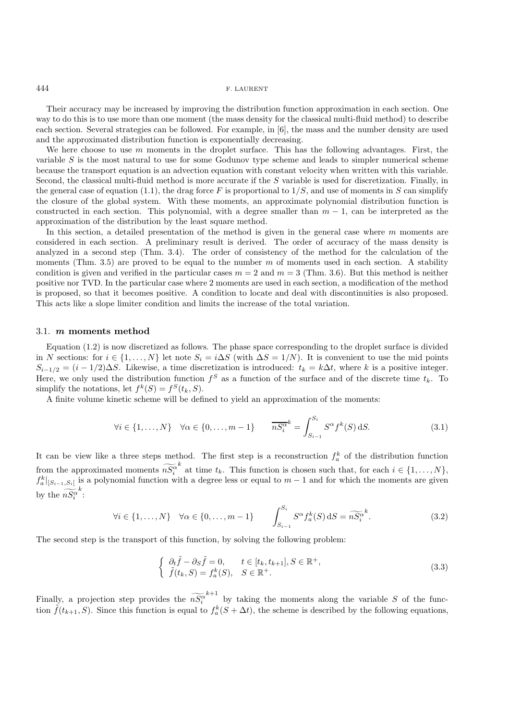Their accuracy may be increased by improving the distribution function approximation in each section. One way to do this is to use more than one moment (the mass density for the classical multi-fluid method) to describe each section. Several strategies can be followed. For example, in [6], the mass and the number density are used and the approximated distribution function is exponentially decreasing.

We here choose to use  $m$  moments in the droplet surface. This has the following advantages. First, the variable  $S$  is the most natural to use for some Godunov type scheme and leads to simpler numerical scheme because the transport equation is an advection equation with constant velocity when written with this variable. Second, the classical multi-fluid method is more accurate if the S variable is used for discretization. Finally, in the general case of equation (1.1), the drag force F is proportional to  $1/S$ , and use of moments in S can simplify the closure of the global system. With these moments, an approximate polynomial distribution function is constructed in each section. This polynomial, with a degree smaller than  $m - 1$ , can be interpreted as the approximation of the distribution by the least square method.

In this section, a detailed presentation of the method is given in the general case where  $m$  moments are considered in each section. A preliminary result is derived. The order of accuracy of the mass density is analyzed in a second step (Thm. 3.4). The order of consistency of the method for the calculation of the moments (Thm. 3.5) are proved to be equal to the number  $m$  of moments used in each section. A stability condition is given and verified in the particular cases  $m = 2$  and  $m = 3$  (Thm. 3.6). But this method is neither positive nor TVD. In the particular case where 2 moments are used in each section, a modification of the method is proposed, so that it becomes positive. A condition to locate and deal with discontinuities is also proposed. This acts like a slope limiter condition and limits the increase of the total variation.

## 3.1. *m* **moments method**

Equation (1.2) is now discretized as follows. The phase space corresponding to the droplet surface is divided in N sections: for  $i \in \{1,\ldots,N\}$  let note  $S_i = i\Delta S$  (with  $\Delta S = 1/N$ ). It is convenient to use the mid points  $S_{i-1/2} = (i - 1/2)\Delta S$ . Likewise, a time discretization is introduced:  $t_k = k\Delta t$ , where k is a positive integer. Here, we only used the distribution function  $f^S$  as a function of the surface and of the discrete time  $t_k$ . To simplify the notations, let  $f^k(S) = f^S(t_k, S)$ .

A finite volume kinetic scheme will be defined to yield an approximation of the moments:

$$
\forall i \in \{1, \dots, N\} \quad \forall \alpha \in \{0, \dots, m-1\} \qquad \overline{nS_i^{\alpha^k}} = \int_{S_{i-1}}^{S_i} S^{\alpha} f^k(S) \, dS. \tag{3.1}
$$

It can be view like a three steps method. The first step is a reconstruction  $f_a^k$  of the distribution function from the approximated moments  $n\bar{S}_i^{\alpha}$ <sup>k</sup> at time  $t_k$ . This function is chosen such that, for each  $i \in \{1, ..., N\}$ ,  $f_a^k|_{S_{i-1},S_i}$  is a polynomial function with a degree less or equal to  $m-1$  and for which the moments are given by the  $n\overline{S}_i^{\alpha}$ k :

$$
\forall i \in \{1, \dots, N\} \quad \forall \alpha \in \{0, \dots, m-1\} \qquad \int_{S_{i-1}}^{S_i} S^{\alpha} f_a^k(S) \, dS = \widetilde{nS_i^{\alpha}}^k. \tag{3.2}
$$

The second step is the transport of this function, by solving the following problem:

$$
\begin{cases}\n\partial_t \tilde{f} - \partial_S \tilde{f} = 0, & t \in [t_k, t_{k+1}], S \in \mathbb{R}^+, \\
\tilde{f}(t_k, S) = f_a^k(S), & S \in \mathbb{R}^+.\n\end{cases}
$$
\n(3.3)

Finally, a projection step provides the  $n\tilde{S}_i^{\alpha}$  $k+1$  by taking the moments along the variable S of the function  $\tilde{f}(t_{k+1}, S)$ . Since this function is equal to  $f_a^k(S + \Delta t)$ , the scheme is described by the following equations,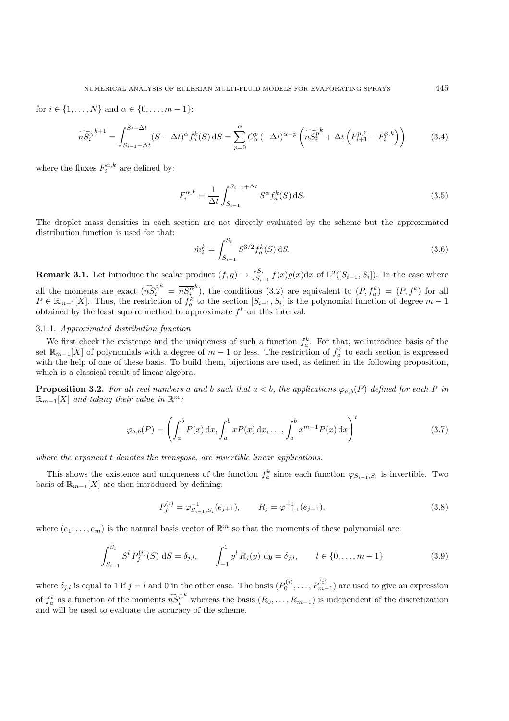for  $i \in \{1, ..., N\}$  and  $\alpha \in \{0, ..., m - 1\}$ :

$$
\widetilde{nS_i^{\alpha}}^{k+1} = \int_{S_{i-1}+\Delta t}^{S_i+\Delta t} (S - \Delta t)^{\alpha} f_a^k(S) dS = \sum_{p=0}^{\alpha} C_{\alpha}^p (-\Delta t)^{\alpha-p} \left( \widetilde{nS_i^p}^k + \Delta t \left( F_{i+1}^{p,k} - F_i^{p,k} \right) \right)
$$
(3.4)

where the fluxes  $F_i^{\alpha,k}$  are defined by:

$$
F_i^{\alpha,k} = \frac{1}{\Delta t} \int_{S_{i-1}}^{S_{i-1} + \Delta t} S^{\alpha} f_a^k(S) \, dS.
$$
 (3.5)

The droplet mass densities in each section are not directly evaluated by the scheme but the approximated distribution function is used for that:

$$
\tilde{m}_i^k = \int_{S_{i-1}}^{S_i} S^{3/2} f_a^k(S) \, \mathrm{d}S. \tag{3.6}
$$

**Remark 3.1.** Let introduce the scalar product  $(f, g) \mapsto \int_{S_{i-1}}^{S_i} f(x)g(x)dx$  of  $L^2([S_{i-1}, S_i])$ . In the case where all the moments are exact  $(n\tilde{S}_i^{\alpha})$  $\frac{k}{n} = \overline{nS^{\alpha}_{i}}$ <sup>k</sup>), the conditions (3.2) are equivalent to  $(P, f_a^k) = (P, f^k)$  for all  $P \in \mathbb{R}_{m-1}[X]$ . Thus, the restriction of  $f_a^k$  to the section  $[S_{i-1}, S_i]$  is the polynomial function of degree  $m-1$ obtained by the least square method to approximate  $f^k$  on this interval.

### 3.1.1. *Approximated distribution function*

We first check the existence and the uniqueness of such a function  $f_a^k$ . For that, we introduce basis of the set  $\mathbb{R}_{m-1}[X]$  of polynomials with a degree of  $m-1$  or less. The restriction of  $f_a^k$  to each section is expressed with the help of one of these basis. To build them, bijections are used, as defined in the following proposition, which is a classical result of linear algebra.

**Proposition 3.2.** For all real numbers a and b such that  $a < b$ , the applications  $\varphi_{a,b}(P)$  defined for each P in  $\mathbb{R}_{m-1}[X]$  *and taking their value in*  $\mathbb{R}^m$ :

$$
\varphi_{a,b}(P) = \left(\int_a^b P(x) dx, \int_a^b x P(x) dx, \dots, \int_a^b x^{m-1} P(x) dx\right)^t
$$
\n(3.7)

*where the exponent* t *denotes the transpose, are invertible linear applications.*

This shows the existence and uniqueness of the function  $f_a^k$  since each function  $\varphi_{S_{i-1},S_i}$  is invertible. Two basis of  $\mathbb{R}_{m-1}[X]$  are then introduced by defining:

$$
P_j^{(i)} = \varphi_{S_{i-1}, S_i}^{-1}(e_{j+1}), \qquad R_j = \varphi_{-1,1}^{-1}(e_{j+1}), \tag{3.8}
$$

where  $(e_1,\ldots,e_m)$  is the natural basis vector of  $\mathbb{R}^m$  so that the moments of these polynomial are:

$$
\int_{S_{i-1}}^{S_i} S^l P_j^{(i)}(S) dS = \delta_{j,l}, \qquad \int_{-1}^1 y^l R_j(y) dy = \delta_{j,l}, \qquad l \in \{0, \dots, m-1\}
$$
\n(3.9)

where  $\delta_{j,l}$  is equal to 1 if  $j = l$  and 0 in the other case. The basis  $(P_0^{(i)}, \ldots, P_{m-1}^{(i)})$  are used to give an expression of  $f_a^k$  as a function of the moments  $n\overline{S}_i^{\alpha}$ <sup>k</sup> whereas the basis  $(R_0, \ldots, R_{m-1})$  is independent of the discretization and will be used to evaluate the accuracy of the scheme.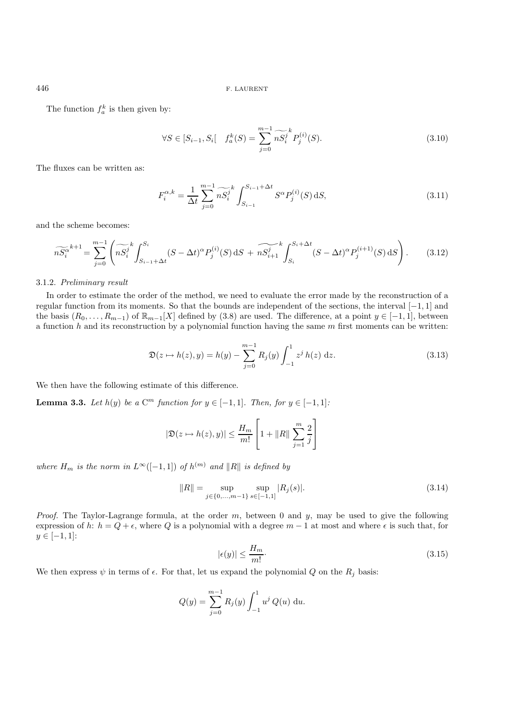The function  $f_a^k$  is then given by:

$$
\forall S \in [S_{i-1}, S_i[ \quad f_a^k(S) = \sum_{j=0}^{m-1} \widetilde{nS_i^j}^k P_j^{(i)}(S). \tag{3.10}
$$

The fluxes can be written as:

$$
F_i^{\alpha,k} = \frac{1}{\Delta t} \sum_{j=0}^{m-1} \widetilde{nS}_i^j \int_{S_{i-1}}^{S_{i-1} + \Delta t} S^{\alpha} P_j^{(i)}(S) \, dS,\tag{3.11}
$$

and the scheme becomes:

$$
\widetilde{nS_i^{\alpha}}^{k+1} = \sum_{j=0}^{m-1} \left( \widetilde{nS_i^j} \int_{S_{i-1} + \Delta t}^{S_i} (S - \Delta t)^{\alpha} P_j^{(i)}(S) \, \mathrm{d}S + \widetilde{nS_{i+1}^j} \int_{S_i}^{S_i + \Delta t} (S - \Delta t)^{\alpha} P_j^{(i+1)}(S) \, \mathrm{d}S \right). \tag{3.12}
$$

#### 3.1.2. *Preliminary result*

In order to estimate the order of the method, we need to evaluate the error made by the reconstruction of a regular function from its moments. So that the bounds are independent of the sections, the interval [−1, 1] and the basis  $(R_0,\ldots,R_{m-1})$  of  $\mathbb{R}_{m-1}[X]$  defined by (3.8) are used. The difference, at a point  $y \in [-1,1]$ , between a function h and its reconstruction by a polynomial function having the same  $m$  first moments can be written:

$$
\mathfrak{D}(z \mapsto h(z), y) = h(y) - \sum_{j=0}^{m-1} R_j(y) \int_{-1}^1 z^j h(z) dz.
$$
 (3.13)

We then have the following estimate of this difference.

**Lemma 3.3.** *Let*  $h(y)$  *be a*  $C^m$  *function for*  $y \in [-1, 1]$ *. Then, for*  $y \in [-1, 1]$ *:* 

$$
|\mathfrak{D}(z \mapsto h(z), y)| \le \frac{H_m}{m!} \left[ 1 + ||R|| \sum_{j=1}^m \frac{2}{j} \right]
$$

*where*  $H_m$  *is the norm in*  $L^{\infty}([-1,1])$  *of*  $h^{(m)}$  *and*  $||R||$  *is defined by* 

$$
||R|| = \sup_{j \in \{0, \dots, m-1\}} \sup_{s \in [-1,1]} |R_j(s)|.
$$
 (3.14)

*Proof.* The Taylor-Lagrange formula, at the order m, between 0 and y, may be used to give the following expression of h:  $h = Q + \epsilon$ , where Q is a polynomial with a degree  $m - 1$  at most and where  $\epsilon$  is such that, for  $y \in [-1, 1]$ :

$$
|\epsilon(y)| \le \frac{H_m}{m!}.\tag{3.15}
$$

We then express  $\psi$  in terms of  $\epsilon$ . For that, let us expand the polynomial Q on the  $R_j$  basis:

$$
Q(y) = \sum_{j=0}^{m-1} R_j(y) \int_{-1}^1 u^j Q(u) \, \mathrm{d}u.
$$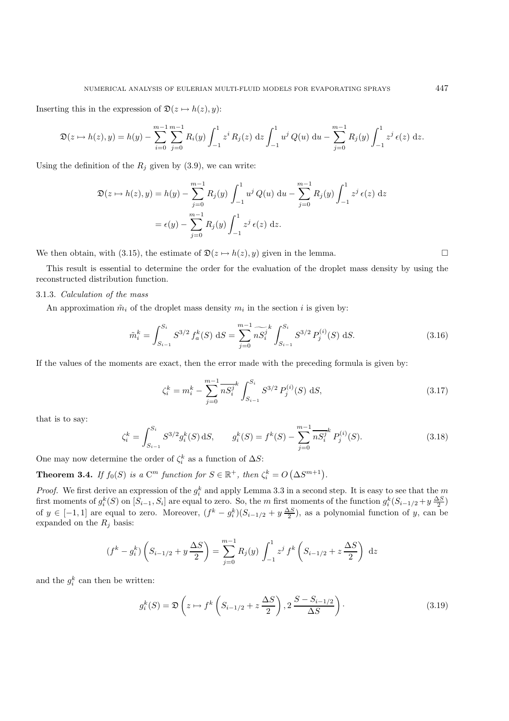Inserting this in the expression of  $\mathfrak{D}(z \mapsto h(z), y)$ :

$$
\mathfrak{D}(z \mapsto h(z), y) = h(y) - \sum_{i=0}^{m-1} \sum_{j=0}^{m-1} R_i(y) \int_{-1}^1 z^i R_j(z) \,dz \int_{-1}^1 u^j Q(u) \,du - \sum_{j=0}^{m-1} R_j(y) \int_{-1}^1 z^j \,\epsilon(z) \,dz.
$$

Using the definition of the  $R_j$  given by (3.9), we can write:

$$
\mathfrak{D}(z \to h(z), y) = h(y) - \sum_{j=0}^{m-1} R_j(y) \int_{-1}^1 u^j Q(u) du - \sum_{j=0}^{m-1} R_j(y) \int_{-1}^1 z^j \epsilon(z) dz
$$
  
=  $\epsilon(y) - \sum_{j=0}^{m-1} R_j(y) \int_{-1}^1 z^j \epsilon(z) dz.$ 

We then obtain, with (3.15), the estimate of  $\mathfrak{D}(z \mapsto h(z), y)$  given in the lemma.

This result is essential to determine the order for the evaluation of the droplet mass density by using the reconstructed distribution function.

### 3.1.3. *Calculation of the mass*

An approximation  $\tilde{m}_i$  of the droplet mass density  $m_i$  in the section i is given by:

$$
\tilde{m}_i^k = \int_{S_{i-1}}^{S_i} S^{3/2} f_a^k(S) \, dS = \sum_{j=0}^{m-1} \widetilde{nS}_i^j \int_{S_{i-1}}^{S_i} S^{3/2} P_j^{(i)}(S) \, dS. \tag{3.16}
$$

If the values of the moments are exact, then the error made with the preceding formula is given by:

$$
\zeta_i^k = m_i^k - \sum_{j=0}^{m-1} \overline{n} S_i^j \int_{S_{i-1}}^{S_i} S^{3/2} P_j^{(i)}(S) \, dS,\tag{3.17}
$$

that is to say:

$$
\zeta_i^k = \int_{S_{i-1}}^{S_i} S^{3/2} g_i^k(S) \, dS, \qquad g_i^k(S) = f^k(S) - \sum_{j=0}^{m-1} \overline{n S_i^j}^k P_j^{(i)}(S). \tag{3.18}
$$

One may now determine the order of  $\zeta_i^k$  as a function of  $\Delta S$ :

**Theorem 3.4.** *If*  $f_0(S)$  *is a*  $C^m$  *function for*  $S \in \mathbb{R}^+$ *, then*  $\zeta_i^k = O(\Delta S^{m+1})$ *.* 

*Proof.* We first derive an expression of the  $g_i^k$  and apply Lemma 3.3 in a second step. It is easy to see that the m first moments of  $g_i^k(S)$  on  $[S_{i-1}, S_i]$  are equal to zero. So, the m first moments of the function  $g_i^k(S_{i-1/2} + y \frac{\Delta S}{2})$ of  $y \in [-1,1]$  are equal to zero. Moreover,  $(f^k - g_i^k)(S_{i-1/2} + y \frac{\Delta S}{2})$ , as a polynomial function of y, can be expanded on the  $R_j$  basis:

$$
(f^{k} - g_{i}^{k}) \left( S_{i-1/2} + y \frac{\Delta S}{2} \right) = \sum_{j=0}^{m-1} R_{j}(y) \int_{-1}^{1} z^{j} f^{k} \left( S_{i-1/2} + z \frac{\Delta S}{2} \right) dz
$$

and the  $g_i^k$  can then be written:

$$
g_i^k(S) = \mathfrak{D}\left(z \mapsto f^k\left(S_{i-1/2} + z\frac{\Delta S}{2}\right), 2\frac{S - S_{i-1/2}}{\Delta S}\right). \tag{3.19}
$$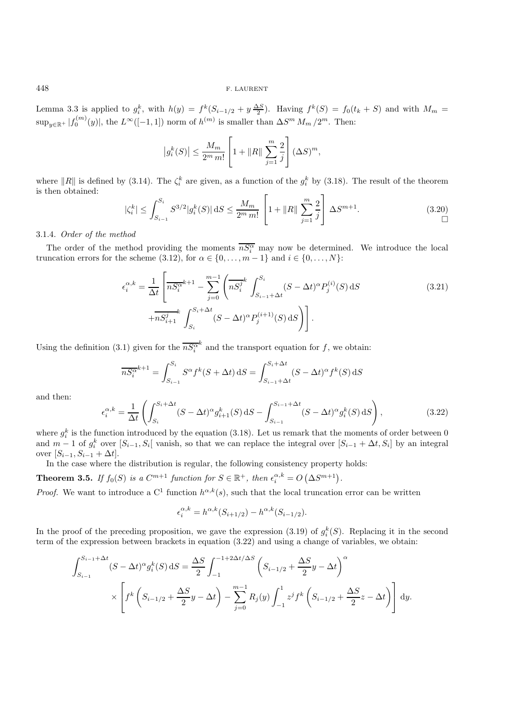Lemma 3.3 is applied to  $g_i^k$ , with  $h(y) = f^k(S_{i-1/2} + y \frac{\Delta S}{2})$ . Having  $f^k(S) = f_0(t_k + S)$  and with  $M_m =$  $\sup_{y\in\mathbb{R}^+}|f_0^{(m)}(y)|$ , the  $L^{\infty}([-1,1])$  norm of  $h^{(m)}$  is smaller than  $\Delta S^m M_m / 2^m$ . Then:

$$
|g_i^k(S)| \le \frac{M_m}{2^m m!} \left[ 1 + ||R|| \sum_{j=1}^m \frac{2}{j} \right] (\Delta S)^m
$$
,

where ||R|| is defined by (3.14). The  $\zeta_i^k$  are given, as a function of the  $g_i^k$  by (3.18). The result of the theorem is then obtained:

$$
|\zeta_i^k| \le \int_{S_{i-1}}^{S_i} S^{3/2} |g_i^k(S)| \, dS \le \frac{M_m}{2^m m!} \left[ 1 + ||R|| \sum_{j=1}^m \frac{2}{j} \right] \Delta S^{m+1}.\tag{3.20}
$$

### 3.1.4. *Order of the method*

The order of the method providing the moments  $\overline{nS_i^{\alpha}}$  may now be determined. We introduce the local truncation errors for the scheme (3.12), for  $\alpha \in \{0, \ldots, m-1\}$  and  $i \in \{0, \ldots, N\}$ :

$$
\epsilon_i^{\alpha,k} = \frac{1}{\Delta t} \left[ \overline{n S_i^{\alpha}}^{k+1} - \sum_{j=0}^{m-1} \left( \overline{n S_i^j}^k \int_{S_{i-1} + \Delta t}^{S_i} (S - \Delta t)^{\alpha} P_j^{(i)}(S) \, dS \right) + \overline{n S_{i+1}^j}^k \int_{S_i}^{S_i + \Delta t} (S - \Delta t)^{\alpha} P_j^{(i+1)}(S) \, dS \right) \right]. \tag{3.21}
$$

Using the definition (3.1) given for the  $\overline{nS_i^{\alpha}}^k$  and the transport equation for f, we obtain:

$$
\overline{nS_i^{\alpha}}^{k+1} = \int_{S_{i-1}}^{S_i} S^{\alpha} f^k(S + \Delta t) dS = \int_{S_{i-1} + \Delta t}^{S_i + \Delta t} (S - \Delta t)^{\alpha} f^k(S) dS
$$

and then:

$$
\epsilon_i^{\alpha,k} = \frac{1}{\Delta t} \left( \int_{S_i}^{S_i + \Delta t} (S - \Delta t)^{\alpha} g_{i+1}^k(S) \, dS - \int_{S_{i-1}}^{S_{i-1} + \Delta t} (S - \Delta t)^{\alpha} g_i^k(S) \, dS \right),\tag{3.22}
$$

where  $g_i^k$  is the function introduced by the equation (3.18). Let us remark that the moments of order between 0 and  $m-1$  of  $g_i^k$  over  $[S_{i-1}, S_i]$  vanish, so that we can replace the integral over  $[S_{i-1} + \Delta t, S_i]$  by an integral over  $[S_{i-1}, S_{i-1} + \Delta t]$ .

In the case where the distribution is regular, the following consistency property holds:

**Theorem 3.5.** *If*  $f_0(S)$  *is a*  $C^{m+1}$  *function for*  $S \in \mathbb{R}^+$ *, then*  $\epsilon_i^{\alpha,k} = O(\Delta S^{m+1})$ *.* 

*Proof.* We want to introduce a C<sup>1</sup> function  $h^{\alpha,k}(s)$ , such that the local truncation error can be written

$$
\epsilon_i^{\alpha,k} = h^{\alpha,k}(S_{i+1/2}) - h^{\alpha,k}(S_{i-1/2}).
$$

In the proof of the preceding proposition, we gave the expression (3.19) of  $g_i^k(S)$ . Replacing it in the second term of the expression between brackets in equation (3.22) and using a change of variables, we obtain:

$$
\int_{S_{i-1}}^{S_{i-1} + \Delta t} (S - \Delta t)^{\alpha} g_i^k(S) dS = \frac{\Delta S}{2} \int_{-1}^{-1 + 2\Delta t/\Delta S} \left( S_{i-1/2} + \frac{\Delta S}{2} y - \Delta t \right)^{\alpha}
$$
  
 
$$
\times \left[ f^k \left( S_{i-1/2} + \frac{\Delta S}{2} y - \Delta t \right) - \sum_{j=0}^{m-1} R_j(y) \int_{-1}^1 z^j f^k \left( S_{i-1/2} + \frac{\Delta S}{2} z - \Delta t \right) \right] dy.
$$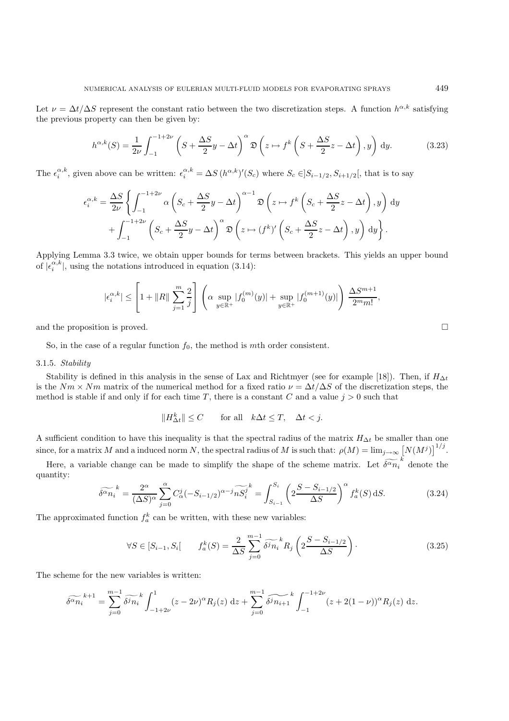Let  $\nu = \Delta t / \Delta S$  represent the constant ratio between the two discretization steps. A function  $h^{\alpha,k}$  satisfying the previous property can then be given by:

$$
h^{\alpha,k}(S) = \frac{1}{2\nu} \int_{-1}^{-1+2\nu} \left( S + \frac{\Delta S}{2} y - \Delta t \right)^{\alpha} \mathfrak{D} \left( z \mapsto f^k \left( S + \frac{\Delta S}{2} z - \Delta t \right), y \right) dy.
$$
 (3.23)

The  $\epsilon_i^{\alpha,k}$ , given above can be written:  $\epsilon_i^{\alpha,k} = \Delta S (h^{\alpha,k})'(S_c)$  where  $S_c \in ]S_{i-1/2}, S_{i+1/2}[$ , that is to say

$$
\epsilon_i^{\alpha,k} = \frac{\Delta S}{2\nu} \left\{ \int_{-1}^{-1+2\nu} \alpha \left( S_c + \frac{\Delta S}{2} y - \Delta t \right)^{\alpha-1} \mathfrak{D} \left( z \mapsto f^k \left( S_c + \frac{\Delta S}{2} z - \Delta t \right), y \right) dy \right. \\ \left. + \int_{-1}^{-1+2\nu} \left( S_c + \frac{\Delta S}{2} y - \Delta t \right)^{\alpha} \mathfrak{D} \left( z \mapsto (f^k)' \left( S_c + \frac{\Delta S}{2} z - \Delta t \right), y \right) dy \right\}.
$$

Applying Lemma 3.3 twice, we obtain upper bounds for terms between brackets. This yields an upper bound of  $|\epsilon_i^{\alpha,k}|$ , using the notations introduced in equation (3.14):

$$
|\epsilon_i^{\alpha,k}| \le \left[1 + ||R|| \sum_{j=1}^m \frac{2}{j}\right] \left( \alpha \sup_{y \in \mathbb{R}^+} |f_0^{(m)}(y)| + \sup_{y \in \mathbb{R}^+} |f_0^{(m+1)}(y)| \right) \frac{\Delta S^{m+1}}{2^m m!},
$$

and the proposition is proved.  $\square$ 

So, in the case of a regular function  $f_0$ , the method is mth order consistent.

### 3.1.5. *Stability*

Stability is defined in this analysis in the sense of Lax and Richtmyer (see for example [18]). Then, if  $H_{\Delta t}$ is the  $Nm \times Nm$  matrix of the numerical method for a fixed ratio  $\nu = \Delta t / \Delta S$  of the discretization steps, the method is stable if and only if for each time T, there is a constant C and a value  $j > 0$  such that

$$
||H^k_{\Delta t}|| \le C \qquad \text{for all} \quad k\Delta t \le T, \quad \Delta t < j.
$$

A sufficient condition to have this inequality is that the spectral radius of the matrix  $H_{\Delta t}$  be smaller than one since, for a matrix M and a induced norm N, the spectral radius of M is such that:  $\rho(M) = \lim_{j \to \infty} [N(M^j)]^{1/j}$ .

Here, a variable change can be made to simplify the shape of the scheme matrix. Let  $\widetilde{\delta^{\alpha}n_i}^k$  denote the quantity:

$$
\widetilde{\delta^{\alpha}n_{i}}^{k} = \frac{2^{\alpha}}{(\Delta S)^{\alpha}} \sum_{j=0}^{\alpha} C_{\alpha}^{j} (-S_{i-1/2})^{\alpha-j} \widetilde{nS_{i}^{j}}^{k} = \int_{S_{i-1}}^{S_{i}} \left( 2 \frac{S - S_{i-1/2}}{\Delta S} \right)^{\alpha} f_{a}^{k}(S) dS.
$$
 (3.24)

The approximated function  $f_a^k$  can be written, with these new variables:

$$
\forall S \in [S_{i-1}, S_i] \qquad f_a^k(S) = \frac{2}{\Delta S} \sum_{j=0}^{m-1} \widetilde{\delta^j n_i}^k R_j \left( 2 \frac{S - S_{i-1/2}}{\Delta S} \right). \tag{3.25}
$$

The scheme for the new variables is written:

$$
\widetilde{\delta^{\alpha}n_{i}}^{k+1} = \sum_{j=0}^{m-1} \widetilde{\delta^{j}n_{i}}^{k} \int_{-1+2\nu}^{1} (z - 2\nu)^{\alpha} R_{j}(z) dz + \sum_{j=0}^{m-1} \widetilde{\delta^{j}n_{i+1}}^{k} \int_{-1}^{-1+2\nu} (z + 2(1-\nu))^{\alpha} R_{j}(z) dz.
$$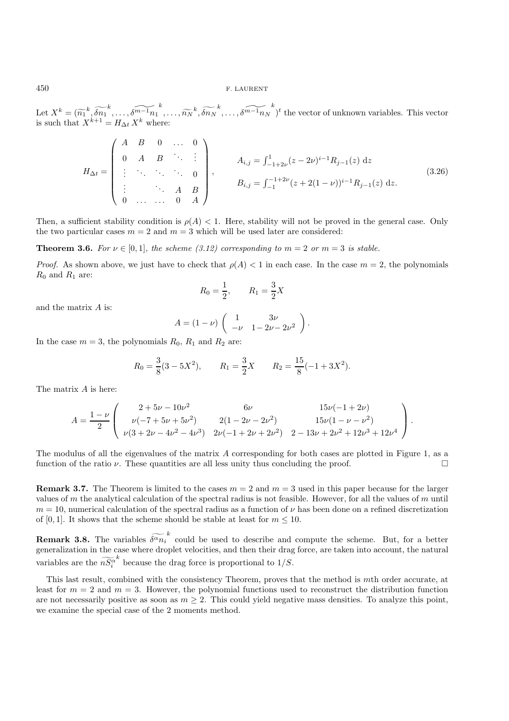Let  $X^k = (\widetilde{n_1}^k, \widetilde{\delta n_1}^k, \ldots, \widetilde{\delta^{m-1} n_1}^k, \ldots, \widetilde{n_N}^k, \widetilde{\delta n_N}^k, \ldots, \widetilde{\delta^{m-1} n_N}^k)^t$  the vector of unknown variables. This vector is such that  $X^{k+1} = H_{\Delta k} X^k$  where is such that  $X^{k+1} = H_{\Delta t} X^k$  where:

$$
H_{\Delta t} = \begin{pmatrix} A & B & 0 & \dots & 0 \\ 0 & A & B & \ddots & \vdots \\ \vdots & \ddots & \ddots & \ddots & 0 \\ \vdots & \ddots & A & B & \vdots \\ 0 & \dots & \dots & 0 & A \end{pmatrix}, \qquad A_{i,j} = \int_{-1}^{1} 2\nu(z - 2\nu)^{i-1} R_{j-1}(z) \, dz \tag{3.26}
$$

Then, a sufficient stability condition is  $\rho(A) < 1$ . Here, stability will not be proved in the general case. Only the two particular cases  $m = 2$  and  $m = 3$  which will be used later are considered:

**Theorem 3.6.** For  $\nu \in [0,1]$ *, the scheme (3.12) corresponding to*  $m = 2$  *or*  $m = 3$  *is stable.* 

*Proof.* As shown above, we just have to check that  $\rho(A) < 1$  in each case. In the case  $m = 2$ , the polynomials  $R_0$  and  $R_1$  are:

$$
R_0 = \frac{1}{2}, \qquad R_1 = \frac{3}{2}X
$$

and the matrix A is:

$$
A = (1 - \nu) \begin{pmatrix} 1 & 3\nu \\ -\nu & 1 - 2\nu - 2\nu^2 \end{pmatrix}.
$$

In the case  $m = 3$ , the polynomials  $R_0$ ,  $R_1$  and  $R_2$  are:

$$
R_0 = \frac{3}{8}(3 - 5X^2),
$$
  $R_1 = \frac{3}{2}X$   $R_2 = \frac{15}{8}(-1 + 3X^2).$ 

The matrix A is here:

$$
A = \frac{1-\nu}{2} \begin{pmatrix} 2+5\nu - 10\nu^2 & 6\nu & 15\nu(-1+2\nu) \\ \nu(-7+5\nu+5\nu^2) & 2(1-2\nu-2\nu^2) & 15\nu(1-\nu-\nu^2) \\ \nu(3+2\nu-4\nu^2-4\nu^3) & 2\nu(-1+2\nu+2\nu^2) & 2-13\nu+2\nu^2+12\nu^3+12\nu^4 \end{pmatrix}.
$$

The modulus of all the eigenvalues of the matrix A corresponding for both cases are plotted in Figure 1, as a function of the ratio  $\nu$ . These quantities are all less unity thus concluding the proof.

**Remark 3.7.** The Theorem is limited to the cases  $m = 2$  and  $m = 3$  used in this paper because for the larger values of m the analytical calculation of the spectral radius is not feasible. However, for all the values of m until  $m = 10$ , numerical calculation of the spectral radius as a function of  $\nu$  has been done on a refined discretization of [0, 1]. It shows that the scheme should be stable at least for  $m \leq 10$ .

**Remark 3.8.** The variables  $\widetilde{\delta^{\alpha}n_i}^k$  could be used to describe and compute the scheme. But, for a better experiencies in the second theoretical and then their description in the second theoretical and the scheme generalization in the case where droplet velocities, and then their drag force, are taken into account, the natural variables are the  $n\bar{S}_i^{\alpha}$  $k$  because the drag force is proportional to  $1/S$ .

This last result, combined with the consistency Theorem, proves that the method is mth order accurate, at least for  $m = 2$  and  $m = 3$ . However, the polynomial functions used to reconstruct the distribution function are not necessarily positive as soon as  $m \geq 2$ . This could yield negative mass densities. To analyze this point, we examine the special case of the 2 moments method.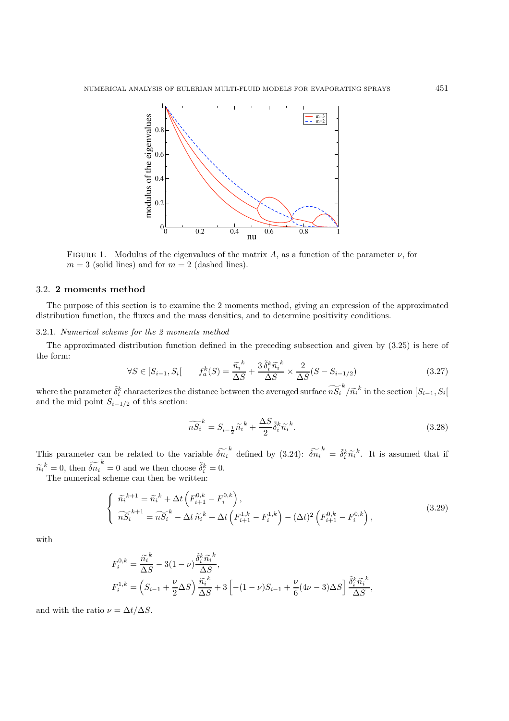

FIGURE 1. Modulus of the eigenvalues of the matrix A, as a function of the parameter  $\nu$ , for  $m = 3$  (solid lines) and for  $m = 2$  (dashed lines).

# 3.2. **2 moments method**

The purpose of this section is to examine the 2 moments method, giving an expression of the approximated distribution function, the fluxes and the mass densities, and to determine positivity conditions.

# 3.2.1. *Numerical scheme for the 2 moments method*

The approximated distribution function defined in the preceding subsection and given by (3.25) is here of the form:

$$
\forall S \in [S_{i-1}, S_i] \qquad f_a^k(S) = \frac{\tilde{n}_i^k}{\Delta S} + \frac{3\tilde{\delta}_i^k \tilde{n}_i^k}{\Delta S} \times \frac{2}{\Delta S} (S - S_{i-1/2}) \tag{3.27}
$$

where the parameter  $\tilde{\delta}_i^k$  characterizes the distance between the averaged surface  $\widetilde{nS}_i^k / \widetilde{n_i}^k$  in the section  $[S_{i-1}, S_i]$ <br>and the mid point  $S_{i-1/2}$  of this section: and the mid point  $S_{i-1/2}$  of this section:

$$
\widetilde{nS_i}^k = S_{i - \frac{1}{2}} \widetilde{n_i}^k + \frac{\Delta S}{2} \widetilde{\delta}_i^k \widetilde{n_i}^k.
$$
\n(3.28)

This parameter can be related to the variable  $\widetilde{\delta n_i}^k$  defined by (3.24):  $\widetilde{\delta n_i}^k = \widetilde{\delta}_i^k \widetilde{n_i}^k$ . It is assumed that if  $\widetilde{n_i}^k = 0$ , then  $\widetilde{\delta n_i}^k = 0$  and we then choose  $\widetilde{\delta i}^k = 0$ .<br>The numerical scheme can then be written:

The numerical scheme can then be written:

$$
\begin{cases}\n\widetilde{n}_{i}^{k+1} = \widetilde{n}_{i}^{k} + \Delta t \left( F_{i+1}^{0,k} - F_{i}^{0,k} \right), \\
\widetilde{nS_{i}}^{k+1} = \widetilde{nS_{i}}^{k} - \Delta t \widetilde{n}_{i}^{k} + \Delta t \left( F_{i+1}^{1,k} - F_{i}^{1,k} \right) - (\Delta t)^{2} \left( F_{i+1}^{0,k} - F_{i}^{0,k} \right),\n\end{cases}
$$
\n(3.29)

with

$$
F_i^{0,k} = \frac{\tilde{n}_i^k}{\Delta S} - 3(1 - \nu) \frac{\tilde{\delta}_i^k \tilde{n}_i^k}{\Delta S},
$$
  
\n
$$
F_i^{1,k} = \left(S_{i-1} + \frac{\nu}{2} \Delta S\right) \frac{\tilde{n}_i^k}{\Delta S} + 3 \left[ -(1 - \nu)S_{i-1} + \frac{\nu}{6} (4\nu - 3) \Delta S \right] \frac{\tilde{\delta}_i^k \tilde{n}_i^k}{\Delta S},
$$

and with the ratio  $\nu = \Delta t / \Delta S$ .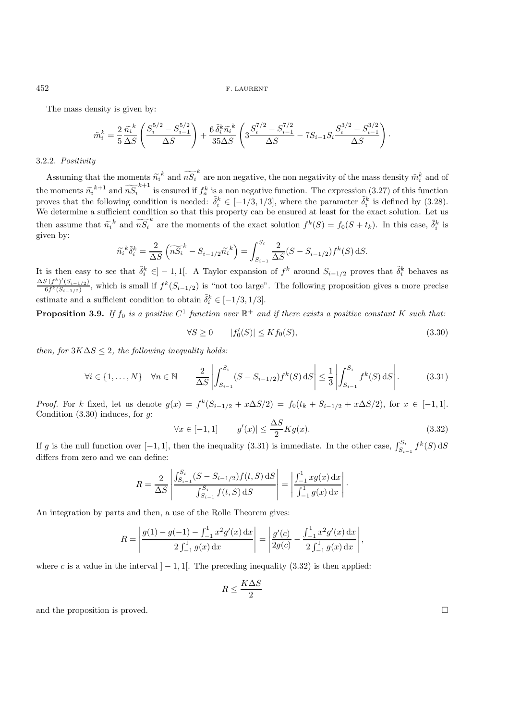The mass density is given by:

$$
\tilde{m}_{i}^{k} = \frac{2}{5} \frac{\tilde{n}_{i}^{k}}{\Delta S} \left( \frac{S_{i}^{5/2} - S_{i-1}^{5/2}}{\Delta S} \right) + \frac{6 \tilde{\delta}_{i}^{k} \tilde{n}_{i}^{k}}{35 \Delta S} \left( 3 \frac{S_{i}^{7/2} - S_{i-1}^{7/2}}{\Delta S} - 7S_{i-1} S_{i} \frac{S_{i}^{3/2} - S_{i-1}^{3/2}}{\Delta S} \right).
$$

### 3.2.2. *Positivity*

Assuming that the moments  $\widetilde{n_i}^k$  and  $\widetilde{nS_i}^k$  are non negative, the non negativity of the mass density  $\widetilde{m_i}^k$  and of  $\widetilde{n_i}^{k+1}$ . the moments  $\widetilde{n_i}^{k+1}$  and  $\widetilde{nS_i}^{k+1}$  is ensured if  $f_a^k$  is a non negative function. The expression (3.27) of this function<br>proves that the following condition is needed:  $\widetilde{\delta}^k \in [-1/3, 1/3]$  where the param proves that the following condition is needed:  $\tilde{\delta}_i^k \in [-1/3, 1/3]$ , where the parameter  $\tilde{\delta}_i^k$  is defined by (3.28). We determine a sufficient condition so that this property can be ensured at least for the exact solution. Let us then assume that  $\widetilde{n_i}^k$  and  $\widetilde{nS_i}^k$  are the moments of the exact solution  $f^k(S) = f_0(S + t_k)$ . In this case,  $\widetilde{\delta}_i^k$  is given by: given by:

$$
\widetilde{n_i}^k \widetilde{\delta}_i^k = \frac{2}{\Delta S} \left( \widetilde{nS_i}^k - S_{i-1/2} \widetilde{n_i}^k \right) = \int_{S_{i-1}}^{S_i} \frac{2}{\Delta S} (S - S_{i-1/2}) f^k(S) \,dS.
$$

It is then easy to see that  $\tilde{\delta}_i^k \in ]-1,1[$ . A Taylor expansion of  $f^k$  around  $S_{i-1/2}$  proves that  $\tilde{\delta}_i^k$  behaves as  $\frac{\Delta S (f^k)'(S_{i-1/2})}{6f^k(S_{i-1/2})}$ , which is small if  $f^k(S_{i-1/2})$  is "not too large". The following proposition gives a more precise estimate and a sufficient condition to obtain  $\tilde{\delta}_i^k \in [-1/3, 1/3]$ .

**Proposition 3.9.** If  $f_0$  is a positive  $C^1$  function over  $\mathbb{R}^+$  and if there exists a positive constant K such that:

$$
\forall S \ge 0 \qquad |f'_0(S)| \le K f_0(S), \tag{3.30}
$$

*then, for*  $3K\Delta S \leq 2$ *, the following inequality holds:* 

$$
\forall i \in \{1, \dots, N\} \quad \forall n \in \mathbb{N} \qquad \frac{2}{\Delta S} \left| \int_{S_{i-1}}^{S_i} (S - S_{i-1/2}) f^k(S) \, dS \right| \le \frac{1}{3} \left| \int_{S_{i-1}}^{S_i} f^k(S) \, dS \right|.
$$
 (3.31)

*Proof.* For k fixed, let us denote  $g(x) = f^k(S_{i-1/2} + x\Delta S/2) = f_0(t_k + S_{i-1/2} + x\Delta S/2)$ , for  $x \in [-1,1]$ . Condition  $(3.30)$  induces, for  $g$ :

$$
\forall x \in [-1, 1] \qquad |g'(x)| \le \frac{\Delta S}{2} K g(x). \tag{3.32}
$$

If g is the null function over  $[-1, 1]$ , then the inequality (3.31) is immediate. In the other case,  $\int_{S_{i-1}}^{S_i} f^k(S) dS$ differs from zero and we can define:

$$
R = \frac{2}{\Delta S} \left| \frac{\int_{S_{i-1}}^{S_i} (S - S_{i-1/2}) f(t, S) \, dS}{\int_{S_{i-1}}^{S_i} f(t, S) \, dS} \right| = \left| \frac{\int_{-1}^{1} x g(x) \, dx}{\int_{-1}^{1} g(x) \, dx} \right|.
$$

An integration by parts and then, a use of the Rolle Theorem gives:

$$
R = \left| \frac{g(1) - g(-1) - \int_{-1}^{1} x^2 g'(x) dx}{2 \int_{-1}^{1} g(x) dx} \right| = \left| \frac{g'(c)}{2g(c)} - \frac{\int_{-1}^{1} x^2 g'(x) dx}{2 \int_{-1}^{1} g(x) dx} \right|,
$$

where c is a value in the interval  $]-1,1[$ . The preceding inequality (3.32) is then applied:

$$
R \le \frac{K\Delta S}{2}
$$

and the proposition is proved.  $\square$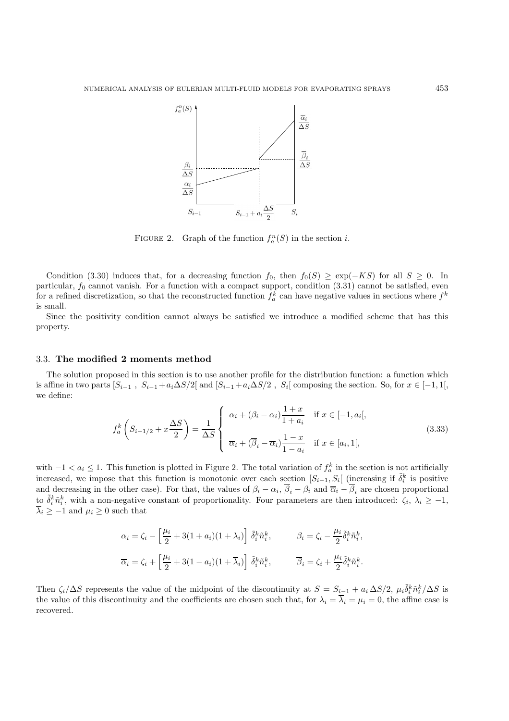

FIGURE 2. Graph of the function  $f_a^n(S)$  in the section *i*.

Condition (3.30) induces that, for a decreasing function  $f_0$ , then  $f_0(S) \geq \exp(-KS)$  for all  $S \geq 0$ . In particular,  $f_0$  cannot vanish. For a function with a compact support, condition  $(3.31)$  cannot be satisfied, even for a refined discretization, so that the reconstructed function  $f_a^k$  can have negative values in sections where  $f^k$ is small.

Since the positivity condition cannot always be satisfied we introduce a modified scheme that has this property.

### 3.3. **The modified 2 moments method**

The solution proposed in this section is to use another profile for the distribution function: a function which is affine in two parts  $[S_{i-1}, S_{i-1} + a_i \Delta S/2]$  and  $[S_{i-1} + a_i \Delta S/2, S_i]$  composing the section. So, for  $x \in [-1, 1]$ , we define:

$$
f_a^k\left(S_{i-1/2} + x\frac{\Delta S}{2}\right) = \frac{1}{\Delta S} \begin{cases} \alpha_i + (\beta_i - \alpha_i)\frac{1+x}{1+a_i} & \text{if } x \in [-1, a_i[,\\ \overline{\alpha}_i + (\overline{\beta}_i - \overline{\alpha}_i)\frac{1-x}{1-a_i} & \text{if } x \in [a_i, 1[, \end{cases}
$$
(3.33)

with  $-1 < a_i \leq 1$ . This function is plotted in Figure 2. The total variation of  $f_a^k$  in the section is not artificially increased, we impose that this function is monotonic over each section  $[S_{i-1}, S_i]$  (increasing if  $\tilde{\delta}_i^k$  is positive and decreasing in the other case). For that, the values of  $\beta_i - \alpha_i$ ,  $\overline{\beta}_i - \beta_i$  and  $\overline{\alpha}_i - \overline{\beta}_i$  are chosen proportional to  $\tilde{\delta}_i^k \tilde{n}_i^k$ , with a non-negative constant of proportionality. Four parameters are then introduced:  $\zeta_i$ ,  $\lambda_i \geq -1$ ,  $\overline{\lambda}_i \geq -1$  and  $\mu_i \geq 0$  such that

$$
\alpha_i = \zeta_i - \left[\frac{\mu_i}{2} + 3(1 + a_i)(1 + \lambda_i)\right] \tilde{\delta}_i^k \tilde{n}_i^k, \qquad \beta_i = \zeta_i - \frac{\mu_i}{2} \tilde{\delta}_i^k \tilde{n}_i^k,
$$
  

$$
\overline{\alpha}_i = \zeta_i + \left[\frac{\mu_i}{2} + 3(1 - a_i)(1 + \overline{\lambda}_i)\right] \tilde{\delta}_i^k \tilde{n}_i^k, \qquad \overline{\beta}_i = \zeta_i + \frac{\mu_i}{2} \tilde{\delta}_i^k \tilde{n}_i^k.
$$

Then  $\zeta_i/\Delta S$  represents the value of the midpoint of the discontinuity at  $S = S_{i-1} + a_i \Delta S/2$ ,  $\mu_i \tilde{\delta}_i^k \tilde{n}_i^k/\Delta S$  is the value of this discontinuity and the coefficients are chosen such that, for  $\lambda_i = \overline{\lambda}_i = \mu_i = 0$ , the affine case is recovered.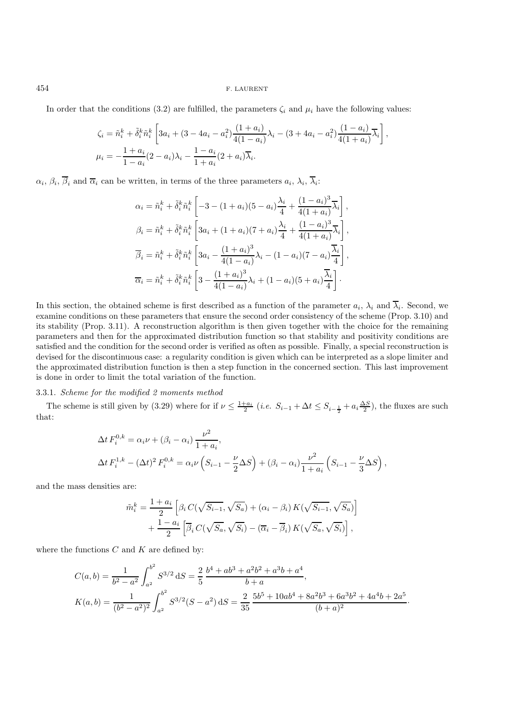In order that the conditions (3.2) are fulfilled, the parameters  $\zeta_i$  and  $\mu_i$  have the following values:

$$
\zeta_i = \tilde{n}_i^k + \tilde{\delta}_i^k \tilde{n}_i^k \left[ 3a_i + (3 - 4a_i - a_i^2) \frac{(1 + a_i)}{4(1 - a_i)} \lambda_i - (3 + 4a_i - a_i^2) \frac{(1 - a_i)}{4(1 + a_i)} \overline{\lambda}_i \right],
$$
  
\n
$$
\mu_i = -\frac{1 + a_i}{1 - a_i} (2 - a_i) \lambda_i - \frac{1 - a_i}{1 + a_i} (2 + a_i) \overline{\lambda}_i.
$$

 $\alpha_i, \beta_i, \overline{\beta}_i$  and  $\overline{\alpha}_i$  can be written, in terms of the three parameters  $a_i, \lambda_i, \overline{\lambda}_i$ :

$$
\alpha_{i} = \tilde{n}_{i}^{k} + \tilde{\delta}_{i}^{k} \tilde{n}_{i}^{k} \left[ -3 - (1 + a_{i})(5 - a_{i}) \frac{\lambda_{i}}{4} + \frac{(1 - a_{i})^{3}}{4(1 + a_{i})} \overline{\lambda}_{i} \right],
$$
  
\n
$$
\beta_{i} = \tilde{n}_{i}^{k} + \tilde{\delta}_{i}^{k} \tilde{n}_{i}^{k} \left[ 3a_{i} + (1 + a_{i})(7 + a_{i}) \frac{\lambda_{i}}{4} + \frac{(1 - a_{i})^{3}}{4(1 + a_{i})} \overline{\lambda}_{i} \right],
$$
  
\n
$$
\overline{\beta}_{i} = \tilde{n}_{i}^{k} + \tilde{\delta}_{i}^{k} \tilde{n}_{i}^{k} \left[ 3a_{i} - \frac{(1 + a_{i})^{3}}{4(1 - a_{i})} \lambda_{i} - (1 - a_{i})(7 - a_{i}) \frac{\overline{\lambda}_{i}}{4} \right],
$$
  
\n
$$
\overline{\alpha}_{i} = \tilde{n}_{i}^{k} + \tilde{\delta}_{i}^{k} \tilde{n}_{i}^{k} \left[ 3 - \frac{(1 + a_{i})^{3}}{4(1 - a_{i})} \lambda_{i} + (1 - a_{i})(5 + a_{i}) \frac{\overline{\lambda}_{i}}{4} \right].
$$

In this section, the obtained scheme is first described as a function of the parameter  $a_i$ ,  $\lambda_i$  and  $\overline{\lambda}_i$ . Second, we examine conditions on these parameters that ensure the second order consistency of the scheme (Prop. 3.10) and its stability (Prop. 3.11). A reconstruction algorithm is then given together with the choice for the remaining parameters and then for the approximated distribution function so that stability and positivity conditions are satisfied and the condition for the second order is verified as often as possible. Finally, a special reconstruction is devised for the discontinuous case: a regularity condition is given which can be interpreted as a slope limiter and the approximated distribution function is then a step function in the concerned section. This last improvement is done in order to limit the total variation of the function.

### 3.3.1. *Scheme for the modified 2 moments method*

The scheme is still given by (3.29) where for if  $\nu \leq \frac{1+a_i}{2}$  (*i.e.*  $S_{i-1} + \Delta t \leq S_{i-\frac{1}{2}} + a_i \frac{\Delta S}{2}$ ), the fluxes are such that:

$$
\Delta t F_i^{0,k} = \alpha_i \nu + (\beta_i - \alpha_i) \frac{\nu^2}{1 + a_i},
$$
  

$$
\Delta t F_i^{1,k} - (\Delta t)^2 F_i^{0,k} = \alpha_i \nu \left( S_{i-1} - \frac{\nu}{2} \Delta S \right) + (\beta_i - \alpha_i) \frac{\nu^2}{1 + a_i} \left( S_{i-1} - \frac{\nu}{3} \Delta S \right),
$$

and the mass densities are:

$$
\tilde{m}_i^k = \frac{1+a_i}{2} \left[ \beta_i C(\sqrt{S_{i-1}}, \sqrt{S_a}) + (\alpha_i - \beta_i) K(\sqrt{S_{i-1}}, \sqrt{S_a}) \right] + \frac{1-a_i}{2} \left[ \overline{\beta}_i C(\sqrt{S_a}, \sqrt{S_i}) - (\overline{\alpha}_i - \overline{\beta}_i) K(\sqrt{S_a}, \sqrt{S_i}) \right],
$$

where the functions  $C$  and  $K$  are defined by:

$$
C(a,b) = \frac{1}{b^2 - a^2} \int_{a^2}^{b^2} S^{3/2} dS = \frac{2}{5} \frac{b^4 + ab^3 + a^2b^2 + a^3b + a^4}{b + a},
$$
  
\n
$$
K(a,b) = \frac{1}{(b^2 - a^2)^2} \int_{a^2}^{b^2} S^{3/2} (S - a^2) dS = \frac{2}{35} \frac{5b^5 + 10ab^4 + 8a^2b^3 + 6a^3b^2 + 4a^4b + 2a^5}{(b + a)^2}.
$$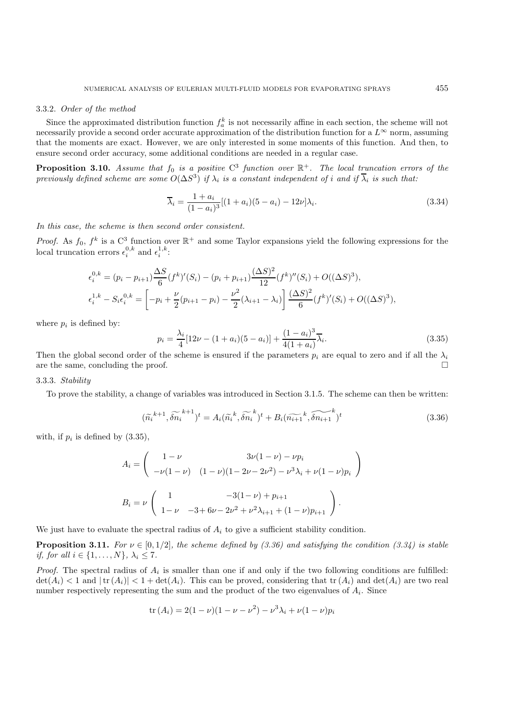#### 3.3.2. *Order of the method*

Since the approximated distribution function  $f_a^k$  is not necessarily affine in each section, the scheme will not necessarily provide a second order accurate approximation of the distribution function for a  $L^{\infty}$  norm, assuming that the moments are exact. However, we are only interested in some moments of this function. And then, to ensure second order accuracy, some additional conditions are needed in a regular case.

**Proposition 3.10.** *Assume that*  $f_0$  *is a positive*  $C^3$  *function over*  $\mathbb{R}^+$ *. The local truncation errors of the previously defined scheme are some*  $O(\Delta S^3)$  *if*  $\lambda_i$  *is a constant independent of i and if*  $\overline{\lambda}_i$  *is such that:* 

$$
\overline{\lambda}_{i} = \frac{1 + a_{i}}{(1 - a_{i})^{3}}[(1 + a_{i})(5 - a_{i}) - 12\nu]\lambda_{i}.
$$
\n(3.34)

*In this case, the scheme is then second order consistent.*

*Proof.* As  $f_0$ ,  $f^k$  is a  $C^3$  function over  $\mathbb{R}^+$  and some Taylor expansions yield the following expressions for the local truncation errors  $\epsilon_i^{0,k}$  and  $\epsilon_i^{1,k}$ :

$$
\epsilon_i^{0,k} = (p_i - p_{i+1}) \frac{\Delta S}{6} (f^k)'(S_i) - (p_i + p_{i+1}) \frac{(\Delta S)^2}{12} (f^k)''(S_i) + O((\Delta S)^3),
$$
  

$$
\epsilon_i^{1,k} - S_i \epsilon_i^{0,k} = \left[ -p_i + \frac{\nu}{2} (p_{i+1} - p_i) - \frac{\nu^2}{2} (\lambda_{i+1} - \lambda_i) \right] \frac{(\Delta S)^2}{6} (f^k)'(S_i) + O((\Delta S)^3),
$$

where  $p_i$  is defined by:

$$
p_i = \frac{\lambda_i}{4} [12\nu - (1 + a_i)(5 - a_i)] + \frac{(1 - a_i)^3}{4(1 + a_i)} \overline{\lambda}_i.
$$
\n(3.35)

Then the global second order of the scheme is ensured if the parameters  $p_i$  are equal to zero and if all the  $\lambda_i$ are the same, concluding the proof.

### 3.3.3. *Stability*

To prove the stability, a change of variables was introduced in Section 3.1.5. The scheme can then be written:

$$
(\widetilde{n_i}^{k+1}, \widetilde{\delta n_i}^{k+1})^t = A_i(\widetilde{n_i}^k, \widetilde{\delta n_i}^k)^t + B_i(\widetilde{n_{i+1}}^k, \widetilde{\delta n_{i+1}}^k)^t
$$
\n(3.36)

with, if  $p_i$  is defined by  $(3.35)$ ,

$$
A_i = \begin{pmatrix} 1 - \nu & 3\nu(1 - \nu) - \nu p_i \\ -\nu(1 - \nu) & (1 - \nu)(1 - 2\nu - 2\nu^2) - \nu^3 \lambda_i + \nu(1 - \nu) p_i \end{pmatrix}
$$

$$
B_i = \nu \begin{pmatrix} 1 & -3(1 - \nu) + p_{i+1} \\ 1 - \nu & -3 + 6\nu - 2\nu^2 + \nu^2 \lambda_{i+1} + (1 - \nu) p_{i+1} \end{pmatrix}.
$$

We just have to evaluate the spectral radius of  $A_i$  to give a sufficient stability condition.

**Proposition 3.11.** *For*  $\nu \in [0, 1/2]$ *, the scheme defined by (3.36) and satisfying the condition (3.34) is stable if, for all*  $i \in \{1, ..., N\}, \lambda_i \leq 7$ *.* 

*Proof.* The spectral radius of  $A_i$  is smaller than one if and only if the two following conditions are fulfilled:  $\det(A_i) < 1$  and  $|\text{tr}(A_i)| < 1 + \det(A_i)$ . This can be proved, considering that  $\text{tr}(A_i)$  and  $\det(A_i)$  are two real number respectively representing the sum and the product of the two eigenvalues of  $A_i$ . Since

$$
tr(A_i) = 2(1 - \nu)(1 - \nu - \nu^2) - \nu^3 \lambda_i + \nu(1 - \nu)p_i
$$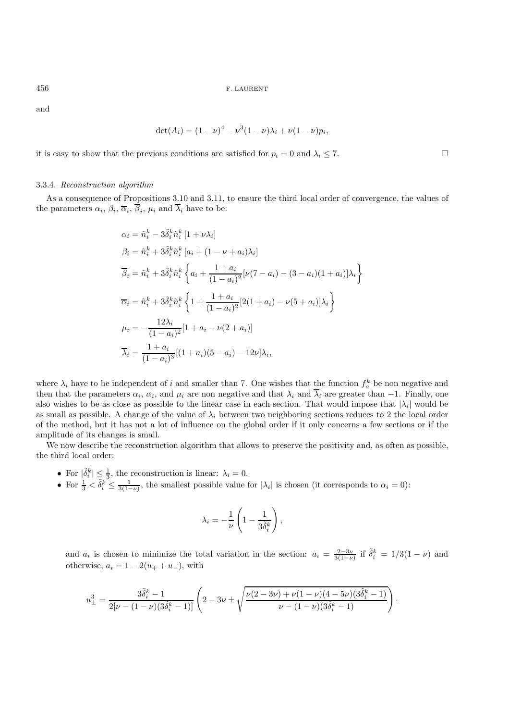and

$$
\det(A_i) = (1 - \nu)^4 - \nu^3 (1 - \nu)\lambda_i + \nu(1 - \nu)p_i,
$$

it is easy to show that the previous conditions are satisfied for  $p_i = 0$  and  $\lambda_i \leq 7$ .

### 3.3.4. *Reconstruction algorithm*

As a consequence of Propositions 3.10 and 3.11, to ensure the third local order of convergence, the values of the parameters  $\alpha_i$ ,  $\beta_i$ ,  $\overline{\alpha}_i$ ,  $\overline{\beta}_i$ ,  $\mu_i$  and  $\overline{\lambda}_i$  have to be:

$$
\alpha_{i} = \tilde{n}_{i}^{k} - 3\tilde{\delta}_{i}^{k}\tilde{n}_{i}^{k} [1 + \nu\lambda_{i}]
$$
\n
$$
\beta_{i} = \tilde{n}_{i}^{k} + 3\tilde{\delta}_{i}^{k}\tilde{n}_{i}^{k} [a_{i} + (1 - \nu + a_{i})\lambda_{i}]
$$
\n
$$
\overline{\beta}_{i} = \tilde{n}_{i}^{k} + 3\tilde{\delta}_{i}^{k}\tilde{n}_{i}^{k} \left\{ a_{i} + \frac{1 + a_{i}}{(1 - a_{i})^{2}} [\nu(7 - a_{i}) - (3 - a_{i})(1 + a_{i})]\lambda_{i} \right\}
$$
\n
$$
\overline{\alpha}_{i} = \tilde{n}_{i}^{k} + 3\tilde{\delta}_{i}^{k}\tilde{n}_{i}^{k} \left\{ 1 + \frac{1 + a_{i}}{(1 - a_{i})^{2}} [2(1 + a_{i}) - \nu(5 + a_{i})]\lambda_{i} \right\}
$$
\n
$$
\mu_{i} = -\frac{12\lambda_{i}}{(1 - a_{i})^{2}} [1 + a_{i} - \nu(2 + a_{i})]
$$
\n
$$
\overline{\lambda}_{i} = \frac{1 + a_{i}}{(1 - a_{i})^{3}} [(1 + a_{i})(5 - a_{i}) - 12\nu]\lambda_{i},
$$

where  $\lambda_i$  have to be independent of i and smaller than 7. One wishes that the function  $f_a^k$  be non negative and then that the parameters  $\alpha_i$ ,  $\overline{\alpha}_i$ , and  $\mu_i$  are non negative and that  $\lambda_i$  and  $\overline{\lambda}_i$  are greater than -1. Finally, one also wishes to be as close as possible to the linear case in each section. That would impose that  $|\lambda_i|$  would be as small as possible. A change of the value of  $\lambda_i$  between two neighboring sections reduces to 2 the local order of the method, but it has not a lot of influence on the global order if it only concerns a few sections or if the amplitude of its changes is small.

We now describe the reconstruction algorithm that allows to preserve the positivity and, as often as possible, the third local order:

- For  $|\tilde{\delta}_i^k| \leq \frac{1}{3}$ , the reconstruction is linear:  $\lambda_i = 0$ .
- For  $\frac{1}{3} < \tilde{\delta}_i^k \leq \frac{1}{3(1-\nu)}$ , the smallest possible value for  $|\lambda_i|$  is chosen (it corresponds to  $\alpha_i = 0$ ):

$$
\lambda_i = -\frac{1}{\nu} \left( 1 - \frac{1}{3 \tilde{\delta}_i^k} \right),
$$

and  $a_i$  is chosen to minimize the total variation in the section:  $a_i = \frac{2-3\nu}{3(1-\nu)}$  if  $\tilde{\delta}_i^k = 1/3(1-\nu)$  and otherwise,  $a_i = 1 - 2(u_+ + u_-)$ , with

$$
u_{\pm}^3 = \frac{3\tilde{\delta}_i^k - 1}{2[\nu - (1 - \nu)(3\tilde{\delta}_i^k - 1)]} \left(2 - 3\nu \pm \sqrt{\frac{\nu(2 - 3\nu) + \nu(1 - \nu)(4 - 5\nu)(3\tilde{\delta}_i^k - 1)}{\nu - (1 - \nu)(3\tilde{\delta}_i^k - 1)}}\right)
$$

·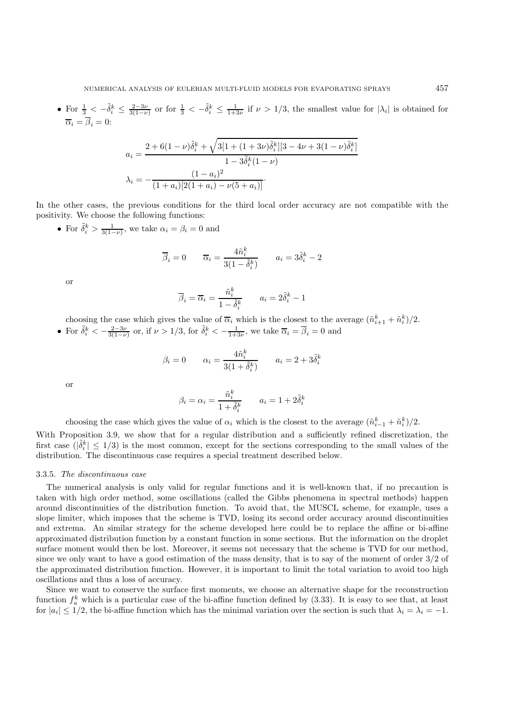• For  $\frac{1}{3} < -\tilde{\delta}_i^k \leq \frac{2-3\nu}{3(1-\nu)}$  or for  $\frac{1}{3} < -\tilde{\delta}_i^k \leq \frac{1}{1+3\nu}$  if  $\nu > 1/3$ , the smallest value for  $|\lambda_i|$  is obtained for  $\overline{\alpha}_i = \beta_i = 0:$ 

$$
a_i = \frac{2 + 6(1 - \nu)\tilde{\delta}_i^k + \sqrt{3[1 + (1 + 3\nu)\tilde{\delta}_i^k][3 - 4\nu + 3(1 - \nu)\tilde{\delta}_i^k]}
$$

$$
1 - 3\tilde{\delta}_i^k(1 - \nu)
$$

$$
\lambda_i = -\frac{(1 - a_i)^2}{(1 + a_i)[2(1 + a_i) - \nu(5 + a_i)]}.
$$

In the other cases, the previous conditions for the third local order accuracy are not compatible with the positivity. We choose the following functions:

• For  $\tilde{\delta}_i^k > \frac{1}{3(1-\nu)}$ , we take  $\alpha_i = \beta_i = 0$  and

$$
\overline{\beta}_i = 0 \qquad \overline{\alpha}_i = \frac{4\tilde{n}_i^k}{3(1 - \tilde{\delta}_i^k)} \qquad a_i = 3\tilde{\delta}_i^k - 2
$$

or

$$
\overline{\beta}_i = \overline{\alpha}_i = \frac{\tilde{n}_i^k}{1 - \tilde{\delta}_i^k} \qquad a_i = 2\tilde{\delta}_i^k - 1
$$

choosing the case which gives the value of  $\overline{\alpha}_i$  which is the closest to the average  $(\tilde{n}_{i+1}^k + \tilde{n}_i^k)/2$ .

• For  $\tilde{\delta}_i^k < -\frac{2-3\nu}{3(1-\nu)}$  or, if  $\nu > 1/3$ , for  $\tilde{\delta}_i^k < -\frac{1}{1+3\nu}$ , we take  $\overline{\alpha}_i = \overline{\beta}_i = 0$  and

$$
\beta_i = 0 \qquad \alpha_i = \frac{4\tilde{n}_i^k}{3(1+\tilde{\delta}_i^k)} \qquad a_i = 2 + 3\tilde{\delta}_i^k
$$

or

$$
\beta_i = \alpha_i = \frac{\tilde{n}_i^k}{1 + \tilde{\delta}_i^k} \qquad a_i = 1 + 2\tilde{\delta}_i^k
$$

choosing the case which gives the value of  $\alpha_i$  which is the closest to the average  $(\tilde{n}_{i-1}^k + \tilde{n}_i^k)/2$ .

With Proposition 3.9, we show that for a regular distribution and a sufficiently refined discretization, the first case  $(|\tilde{\delta}_i^k| \leq 1/3)$  is the most common, except for the sections corresponding to the small values of the distribution. The discontinuous case requires a special treatment described below.

#### 3.3.5. *The discontinuous case*

The numerical analysis is only valid for regular functions and it is well-known that, if no precaution is taken with high order method, some oscillations (called the Gibbs phenomena in spectral methods) happen around discontinuities of the distribution function. To avoid that, the MUSCL scheme, for example, uses a slope limiter, which imposes that the scheme is TVD, losing its second order accuracy around discontinuities and extrema. An similar strategy for the scheme developed here could be to replace the affine or bi-affine approximated distribution function by a constant function in some sections. But the information on the droplet surface moment would then be lost. Moreover, it seems not necessary that the scheme is TVD for our method, since we only want to have a good estimation of the mass density, that is to say of the moment of order 3/2 of the approximated distribution function. However, it is important to limit the total variation to avoid too high oscillations and thus a loss of accuracy.

Since we want to conserve the surface first moments, we choose an alternative shape for the reconstruction function  $f_a^k$  which is a particular case of the bi-affine function defined by (3.33). It is easy to see that, at least for  $|a_i| \leq 1/2$ , the bi-affine function which has the minimal variation over the section is such that  $\lambda_i = \lambda_i = -1$ .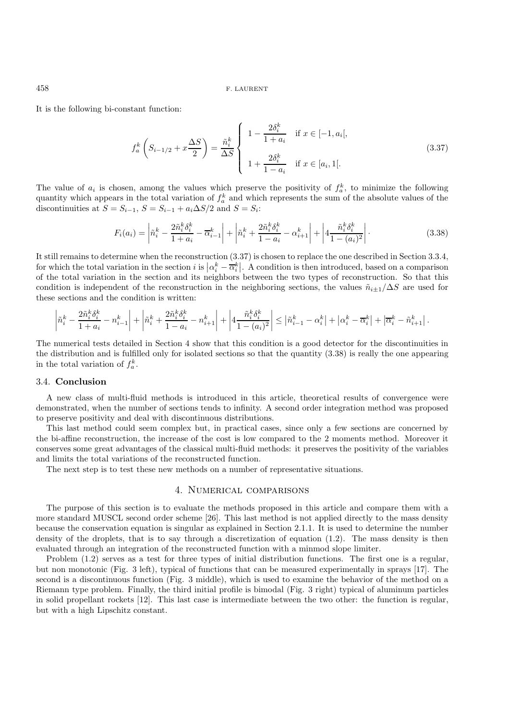It is the following bi-constant function:

$$
f_a^k \left( S_{i-1/2} + x \frac{\Delta S}{2} \right) = \frac{\tilde{n}_i^k}{\Delta S} \begin{cases} 1 - \frac{2\delta_i^k}{1 + a_i} & \text{if } x \in [-1, a_i[,\\ 1 + \frac{2\delta_i^k}{1 - a_i} & \text{if } x \in [a_i, 1]. \end{cases}
$$
(3.37)

The value of  $a_i$  is chosen, among the values which preserve the positivity of  $f_a^k$ , to minimize the following quantity which appears in the total variation of  $f_a^k$  and which represents the sum of the absolute values of the discontinuities at  $S = S_{i-1}$ ,  $S = S_{i-1} + a_i \Delta S/2$  and  $S = S_i$ :

$$
F_i(a_i) = \left| \tilde{n}_i^k - \frac{2\tilde{n}_i^k \delta_i^k}{1 + a_i} - \overline{\alpha}_{i-1}^k \right| + \left| \tilde{n}_i^k + \frac{2\tilde{n}_i^k \delta_i^k}{1 - a_i} - \alpha_{i+1}^k \right| + \left| 4 \frac{\tilde{n}_i^k \delta_i^k}{1 - (a_i)^2} \right|.
$$
 (3.38)

It still remains to determine when the reconstruction (3.37) is chosen to replace the one described in Section 3.3.4, for which the total variation in the section is is  $\left| \alpha_i^k - \overline{\alpha}_i^k \right|$ . A condition is then introduced, based on a comparison<br>of the total variation in the section and its pointboars between the two types of perspecta of the total variation in the section and its neighbors between the two types of reconstruction. So that this condition is independent of the reconstruction in the neighboring sections, the values  $\tilde{n}_{i\pm1}/\Delta S$  are used for these sections and the condition is written:

$$
\left|\tilde{n}_i^k - \frac{2\tilde{n}_i^k\delta_i^k}{1+a_i} - n_{i-1}^k\right| + \left|\tilde{n}_i^k + \frac{2\tilde{n}_i^k\delta_i^k}{1-a_i} - n_{i+1}^k\right| + \left|4\frac{\tilde{n}_i^k\delta_i^k}{1-(a_i)^2}\right| \leq \left|\tilde{n}_{i-1}^k - \alpha_i^k\right| + \left|\alpha_i^k - \overline{\alpha}_i^k\right| + \left|\overline{\alpha}_i^k - \tilde{n}_{i+1}^k\right|.
$$

The numerical tests detailed in Section 4 show that this condition is a good detector for the discontinuities in the distribution and is fulfilled only for isolated sections so that the quantity (3.38) is really the one appearing in the total variation of  $f_a^k$ .

### 3.4. **Conclusion**

A new class of multi-fluid methods is introduced in this article, theoretical results of convergence were demonstrated, when the number of sections tends to infinity. A second order integration method was proposed to preserve positivity and deal with discontinuous distributions.

This last method could seem complex but, in practical cases, since only a few sections are concerned by the bi-affine reconstruction, the increase of the cost is low compared to the 2 moments method. Moreover it conserves some great advantages of the classical multi-fluid methods: it preserves the positivity of the variables and limits the total variations of the reconstructed function.

The next step is to test these new methods on a number of representative situations.

### 4. Numerical comparisons

The purpose of this section is to evaluate the methods proposed in this article and compare them with a more standard MUSCL second order scheme [26]. This last method is not applied directly to the mass density because the conservation equation is singular as explained in Section 2.1.1. It is used to determine the number density of the droplets, that is to say through a discretization of equation (1.2). The mass density is then evaluated through an integration of the reconstructed function with a minmod slope limiter.

Problem (1.2) serves as a test for three types of initial distribution functions. The first one is a regular, but non monotonic (Fig. 3 left), typical of functions that can be measured experimentally in sprays [17]. The second is a discontinuous function (Fig. 3 middle), which is used to examine the behavior of the method on a Riemann type problem. Finally, the third initial profile is bimodal (Fig. 3 right) typical of aluminum particles in solid propellant rockets [12]. This last case is intermediate between the two other: the function is regular, but with a high Lipschitz constant.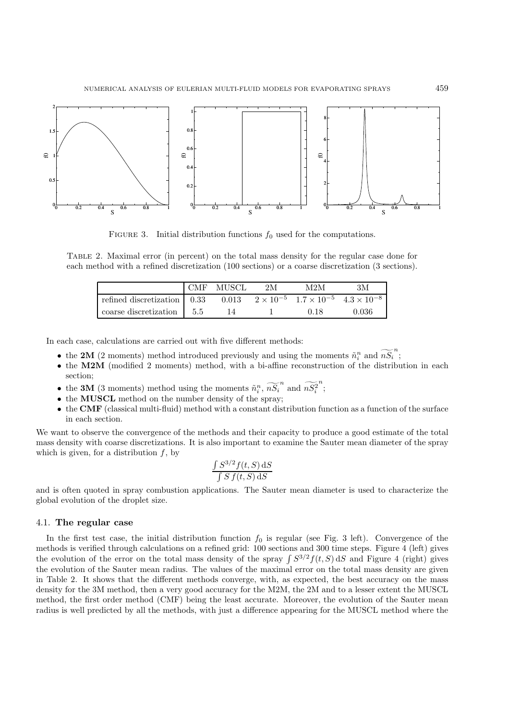

FIGURE 3. Initial distribution functions  $f_0$  used for the computations.

Table 2. Maximal error (in percent) on the total mass density for the regular case done for each method with a refined discretization (100 sections) or a coarse discretization (3 sections).

|                               | CMF MUSCL | 2M | M2M  | ЗM                                                                 |
|-------------------------------|-----------|----|------|--------------------------------------------------------------------|
| refined discretization   0.33 |           |    |      | 0.013 $2 \times 10^{-5}$ $1.7 \times 10^{-5}$ $4.3 \times 10^{-8}$ |
| coarse discretization   5.5   |           |    | 0.18 | 0.036                                                              |

In each case, calculations are carried out with five different methods:

- the **2M** (2 moments) method introduced previously and using the moments  $\tilde{n}_i^n$  and  $\tilde{n}_i^r$ ;
- the M2M (modified 2 moments) method, with a bi-affine reconstruction of the distribution in each section;
- the **3M** (3 moments) method using the moments  $\tilde{n}_i^n$ ,  $\tilde{n}_i^n$  and  $\tilde{n}_i^n$ n ;
- the **MUSCL** method on the number density of the spray;
- the **CMF** (classical multi-fluid) method with a constant distribution function as a function of the surface in each section.

We want to observe the convergence of the methods and their capacity to produce a good estimate of the total mass density with coarse discretizations. It is also important to examine the Sauter mean diameter of the spray which is given, for a distribution  $f$ , by

$$
\frac{\int S^{3/2} f(t, S) \, \mathrm{d}S}{\int S f(t, S) \, \mathrm{d}S}
$$

and is often quoted in spray combustion applications. The Sauter mean diameter is used to characterize the global evolution of the droplet size.

### 4.1. **The regular case**

In the first test case, the initial distribution function  $f_0$  is regular (see Fig. 3 left). Convergence of the methods is verified through calculations on a refined grid: 100 sections and 300 time steps. Figure 4 (left) gives the evolution of the error on the total mass density of the spray  $\int S^{3/2} f(t, S) dS$  and Figure 4 (right) gives the evolution of the Sauter mean radius. The values of the maximal error on the total mass density are given in Table 2. It shows that the different methods converge, with, as expected, the best accuracy on the mass density for the 3M method, then a very good accuracy for the M2M, the 2M and to a lesser extent the MUSCL method, the first order method (CMF) being the least accurate. Moreover, the evolution of the Sauter mean radius is well predicted by all the methods, with just a difference appearing for the MUSCL method where the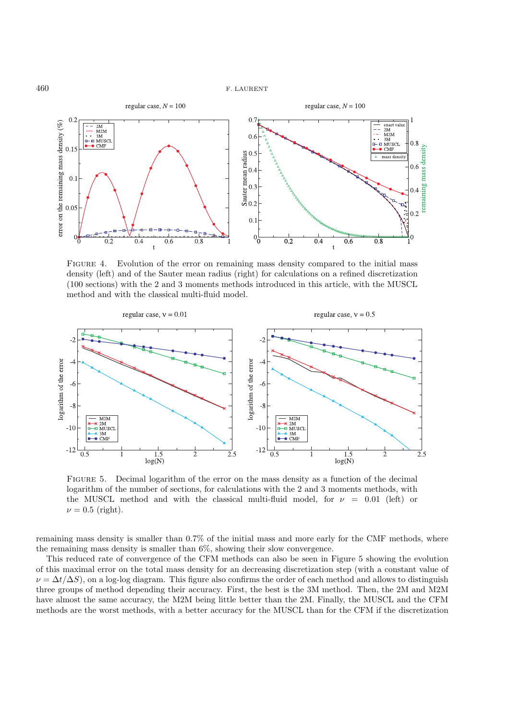

FIGURE 4. Evolution of the error on remaining mass density compared to the initial mass density (left) and of the Sauter mean radius (right) for calculations on a refined discretization (100 sections) with the 2 and 3 moments methods introduced in this article, with the MUSCL method and with the classical multi-fluid model.



Figure 5. Decimal logarithm of the error on the mass density as a function of the decimal logarithm of the number of sections, for calculations with the 2 and 3 moments methods, with the MUSCL method and with the classical multi-fluid model, for  $\nu = 0.01$  (left) or  $\nu = 0.5$  (right).

remaining mass density is smaller than 0.7% of the initial mass and more early for the CMF methods, where the remaining mass density is smaller than 6%, showing their slow convergence.

This reduced rate of convergence of the CFM methods can also be seen in Figure 5 showing the evolution of this maximal error on the total mass density for an decreasing discretization step (with a constant value of  $\nu = \Delta t / \Delta S$ ), on a log-log diagram. This figure also confirms the order of each method and allows to distinguish three groups of method depending their accuracy. First, the best is the 3M method. Then, the 2M and M2M have almost the same accuracy, the M2M being little better than the 2M. Finally, the MUSCL and the CFM methods are the worst methods, with a better accuracy for the MUSCL than for the CFM if the discretization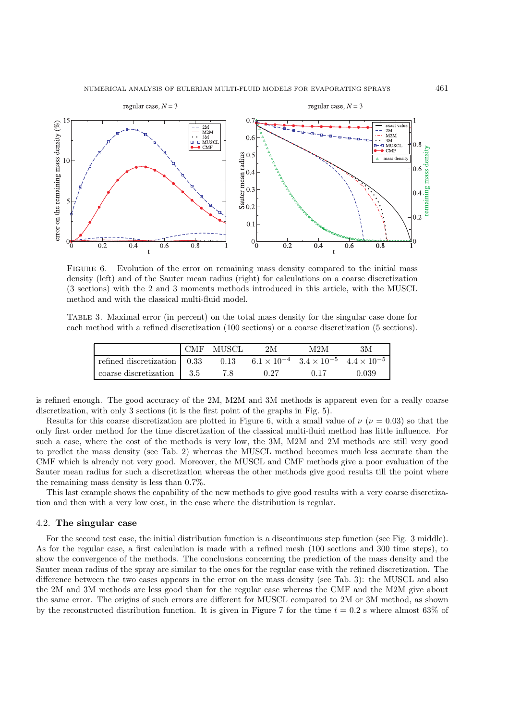

FIGURE 6. Evolution of the error on remaining mass density compared to the initial mass density (left) and of the Sauter mean radius (right) for calculations on a coarse discretization (3 sections) with the 2 and 3 moments methods introduced in this article, with the MUSCL method and with the classical multi-fluid model.

Table 3. Maximal error (in percent) on the total mass density for the singular case done for each method with a refined discretization (100 sections) or a coarse discretization (5 sections).

|                               | CMF MUSCL | 2M   | M2M                                                            | ЗM    |
|-------------------------------|-----------|------|----------------------------------------------------------------|-------|
| refined discretization   0.33 | 0.13      |      | $6.1 \times 10^{-4}$ $3.4 \times 10^{-5}$ $4.4 \times 10^{-5}$ |       |
| coarse discretization   3.5   |           | 0.27 |                                                                | 0.039 |

is refined enough. The good accuracy of the 2M, M2M and 3M methods is apparent even for a really coarse discretization, with only 3 sections (it is the first point of the graphs in Fig. 5).

Results for this coarse discretization are plotted in Figure 6, with a small value of  $\nu$  ( $\nu = 0.03$ ) so that the only first order method for the time discretization of the classical multi-fluid method has little influence. For such a case, where the cost of the methods is very low, the 3M, M2M and 2M methods are still very good to predict the mass density (see Tab. 2) whereas the MUSCL method becomes much less accurate than the CMF which is already not very good. Moreover, the MUSCL and CMF methods give a poor evaluation of the Sauter mean radius for such a discretization whereas the other methods give good results till the point where the remaining mass density is less than 0.7%.

This last example shows the capability of the new methods to give good results with a very coarse discretization and then with a very low cost, in the case where the distribution is regular.

### 4.2. **The singular case**

For the second test case, the initial distribution function is a discontinuous step function (see Fig. 3 middle). As for the regular case, a first calculation is made with a refined mesh (100 sections and 300 time steps), to show the convergence of the methods. The conclusions concerning the prediction of the mass density and the Sauter mean radius of the spray are similar to the ones for the regular case with the refined discretization. The difference between the two cases appears in the error on the mass density (see Tab. 3): the MUSCL and also the 2M and 3M methods are less good than for the regular case whereas the CMF and the M2M give about the same error. The origins of such errors are different for MUSCL compared to 2M or 3M method, as shown by the reconstructed distribution function. It is given in Figure 7 for the time  $t = 0.2$  s where almost 63% of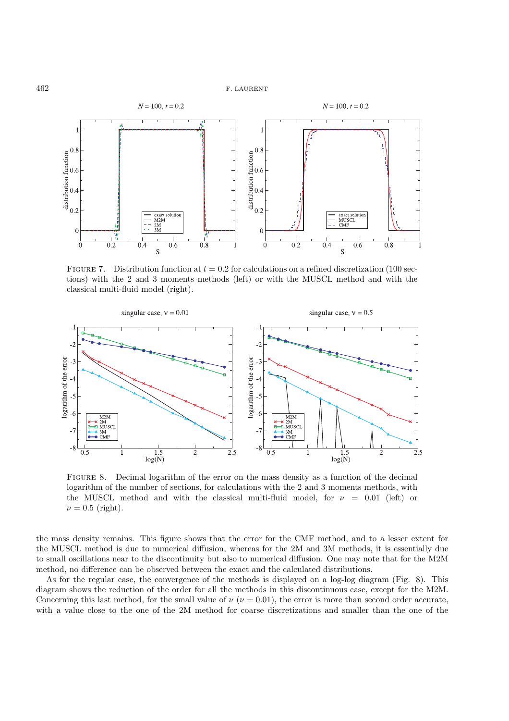

FIGURE 7. Distribution function at  $t = 0.2$  for calculations on a refined discretization (100 sections) with the 2 and 3 moments methods (left) or with the MUSCL method and with the classical multi-fluid model (right).



Figure 8. Decimal logarithm of the error on the mass density as a function of the decimal logarithm of the number of sections, for calculations with the 2 and 3 moments methods, with the MUSCL method and with the classical multi-fluid model, for  $\nu = 0.01$  (left) or  $\nu = 0.5$  (right).

the mass density remains. This figure shows that the error for the CMF method, and to a lesser extent for the MUSCL method is due to numerical diffusion, whereas for the 2M and 3M methods, it is essentially due to small oscillations near to the discontinuity but also to numerical diffusion. One may note that for the M2M method, no difference can be observed between the exact and the calculated distributions.

As for the regular case, the convergence of the methods is displayed on a log-log diagram (Fig. 8). This diagram shows the reduction of the order for all the methods in this discontinuous case, except for the M2M. Concerning this last method, for the small value of  $\nu$  ( $\nu$  = 0.01), the error is more than second order accurate, with a value close to the one of the 2M method for coarse discretizations and smaller than the one of the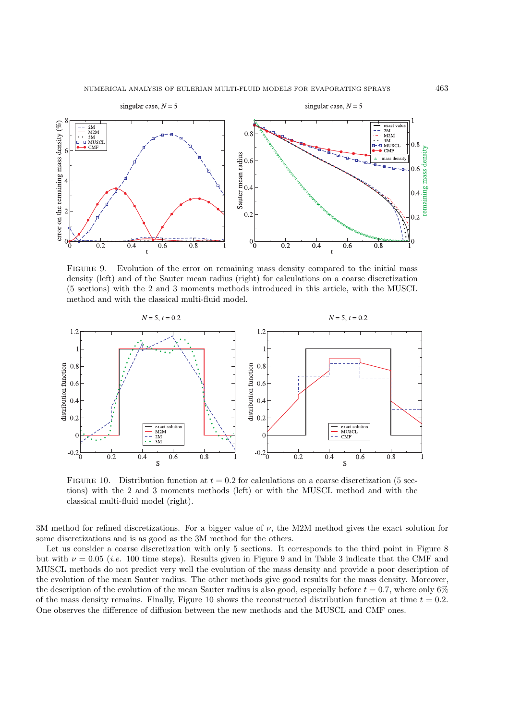

Figure 9. Evolution of the error on remaining mass density compared to the initial mass density (left) and of the Sauter mean radius (right) for calculations on a coarse discretization (5 sections) with the 2 and 3 moments methods introduced in this article, with the MUSCL method and with the classical multi-fluid model.



FIGURE 10. Distribution function at  $t = 0.2$  for calculations on a coarse discretization (5 sections) with the 2 and 3 moments methods (left) or with the MUSCL method and with the classical multi-fluid model (right).

3M method for refined discretizations. For a bigger value of  $\nu$ , the M2M method gives the exact solution for some discretizations and is as good as the 3M method for the others.

Let us consider a coarse discretization with only 5 sections. It corresponds to the third point in Figure 8 but with  $\nu = 0.05$  (*i.e.* 100 time steps). Results given in Figure 9 and in Table 3 indicate that the CMF and MUSCL methods do not predict very well the evolution of the mass density and provide a poor description of the evolution of the mean Sauter radius. The other methods give good results for the mass density. Moreover, the description of the evolution of the mean Sauter radius is also good, especially before  $t = 0.7$ , where only 6% of the mass density remains. Finally, Figure 10 shows the reconstructed distribution function at time  $t = 0.2$ . One observes the difference of diffusion between the new methods and the MUSCL and CMF ones.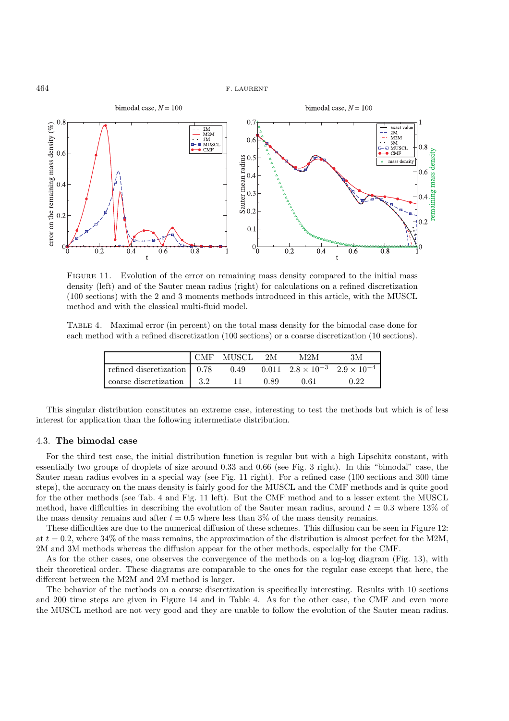

FIGURE 11. Evolution of the error on remaining mass density compared to the initial mass density (left) and of the Sauter mean radius (right) for calculations on a refined discretization (100 sections) with the 2 and 3 moments methods introduced in this article, with the MUSCL method and with the classical multi-fluid model.

Table 4. Maximal error (in percent) on the total mass density for the bimodal case done for each method with a refined discretization (100 sections) or a coarse discretization (10 sections).

|                                           | CMF MUSCL | - 2M | M2M                                                  | ЗM   |
|-------------------------------------------|-----------|------|------------------------------------------------------|------|
| refined discretization $\vert 0.78 \vert$ |           |      | 0.49 0.011 $2.8 \times 10^{-3}$ $2.9 \times 10^{-4}$ |      |
| coarse discretization 3.2                 |           | 0.89 | 0.61                                                 | 0.22 |

This singular distribution constitutes an extreme case, interesting to test the methods but which is of less interest for application than the following intermediate distribution.

#### 4.3. **The bimodal case**

For the third test case, the initial distribution function is regular but with a high Lipschitz constant, with essentially two groups of droplets of size around 0.33 and 0.66 (see Fig. 3 right). In this "bimodal" case, the Sauter mean radius evolves in a special way (see Fig. 11 right). For a refined case (100 sections and 300 time steps), the accuracy on the mass density is fairly good for the MUSCL and the CMF methods and is quite good for the other methods (see Tab. 4 and Fig. 11 left). But the CMF method and to a lesser extent the MUSCL method, have difficulties in describing the evolution of the Sauter mean radius, around  $t = 0.3$  where 13% of the mass density remains and after  $t = 0.5$  where less than 3% of the mass density remains.

These difficulties are due to the numerical diffusion of these schemes. This diffusion can be seen in Figure 12: at  $t = 0.2$ , where 34% of the mass remains, the approximation of the distribution is almost perfect for the M2M, 2M and 3M methods whereas the diffusion appear for the other methods, especially for the CMF.

As for the other cases, one observes the convergence of the methods on a log-log diagram (Fig. 13), with their theoretical order. These diagrams are comparable to the ones for the regular case except that here, the different between the M2M and 2M method is larger.

The behavior of the methods on a coarse discretization is specifically interesting. Results with 10 sections and 200 time steps are given in Figure 14 and in Table 4. As for the other case, the CMF and even more the MUSCL method are not very good and they are unable to follow the evolution of the Sauter mean radius.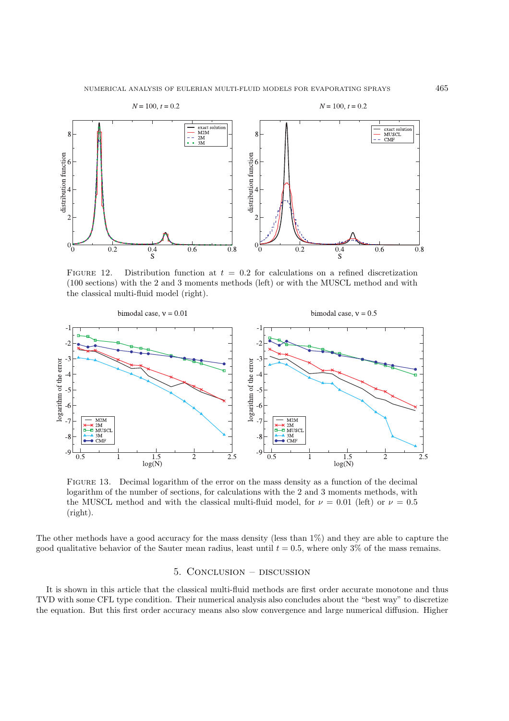

FIGURE 12. Distribution function at  $t = 0.2$  for calculations on a refined discretization (100 sections) with the 2 and 3 moments methods (left) or with the MUSCL method and with the classical multi-fluid model (right).



Figure 13. Decimal logarithm of the error on the mass density as a function of the decimal logarithm of the number of sections, for calculations with the 2 and 3 moments methods, with the MUSCL method and with the classical multi-fluid model, for  $\nu = 0.01$  (left) or  $\nu = 0.5$ (right).

The other methods have a good accuracy for the mass density (less than 1%) and they are able to capture the good qualitative behavior of the Sauter mean radius, least until  $t = 0.5$ , where only 3% of the mass remains.

# 5. Conclusion – discussion

It is shown in this article that the classical multi-fluid methods are first order accurate monotone and thus TVD with some CFL type condition. Their numerical analysis also concludes about the "best way" to discretize the equation. But this first order accuracy means also slow convergence and large numerical diffusion. Higher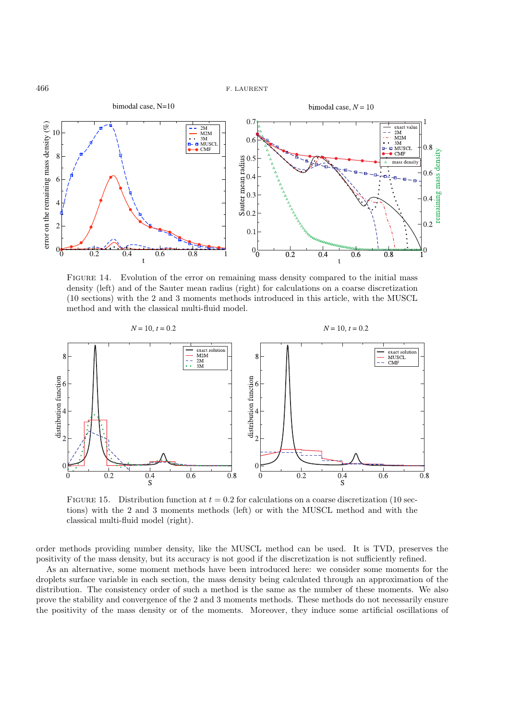

FIGURE 14. Evolution of the error on remaining mass density compared to the initial mass density (left) and of the Sauter mean radius (right) for calculations on a coarse discretization (10 sections) with the 2 and 3 moments methods introduced in this article, with the MUSCL method and with the classical multi-fluid model.



FIGURE 15. Distribution function at  $t = 0.2$  for calculations on a coarse discretization (10 sections) with the 2 and 3 moments methods (left) or with the MUSCL method and with the classical multi-fluid model (right).

order methods providing number density, like the MUSCL method can be used. It is TVD, preserves the positivity of the mass density, but its accuracy is not good if the discretization is not sufficiently refined.

As an alternative, some moment methods have been introduced here: we consider some moments for the droplets surface variable in each section, the mass density being calculated through an approximation of the distribution. The consistency order of such a method is the same as the number of these moments. We also prove the stability and convergence of the 2 and 3 moments methods. These methods do not necessarily ensure the positivity of the mass density or of the moments. Moreover, they induce some artificial oscillations of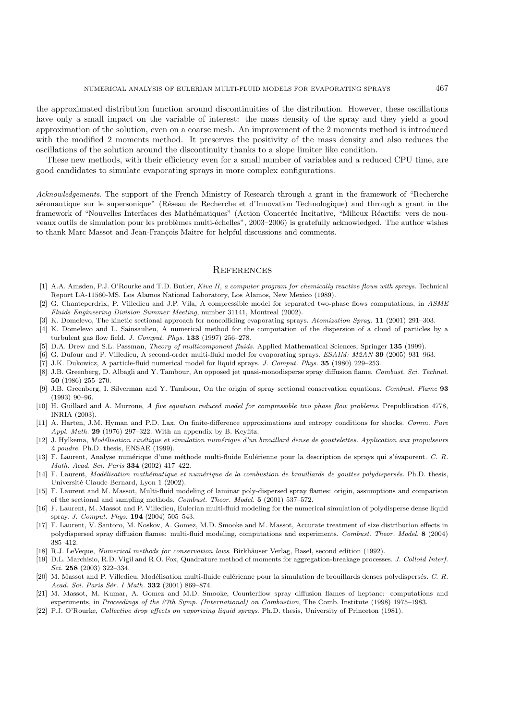the approximated distribution function around discontinuities of the distribution. However, these oscillations have only a small impact on the variable of interest: the mass density of the spray and they yield a good approximation of the solution, even on a coarse mesh. An improvement of the 2 moments method is introduced with the modified 2 moments method. It preserves the positivity of the mass density and also reduces the oscillations of the solution around the discontinuity thanks to a slope limiter like condition.

These new methods, with their efficiency even for a small number of variables and a reduced CPU time, are good candidates to simulate evaporating sprays in more complex configurations.

*Acknowledgements*. The support of the French Ministry of Research through a grant in the framework of "Recherche aéronautique sur le supersonique" (Réseau de Recherche et d'Innovation Technologique) and through a grant in the framework of "Nouvelles Interfaces des Mathématiques" (Action Concertée Incitative, "Milieux Réactifs: vers de nouveaux outils de simulation pour les problèmes multi-échelles", 2003–2006) is gratefully acknowledged. The author wishes to thank Marc Massot and Jean-François Maître for helpful discussions and comments.

# **REFERENCES**

- [1] A.A. Amsden, P.J. O'Rourke and T.D. Butler, Kiva II, a computer program for chemically reactive flows with sprays. Technical Report LA-11560-MS. Los Alamos National Laboratory, Los Alamos, New Mexico (1989).
- [2] G. Chanteperdrix, P. Villedieu and J.P. Vila, A compressible model for separated two-phase flows computations, in ASME Fluids Engineering Division Summer Meeting, number 31141, Montreal (2002).
- [3] K. Domelevo, The kinetic sectional approach for noncolliding evaporating sprays. Atomization Spray. **11** (2001) 291–303.
- [4] K. Domelevo and L. Sainsaulieu, A numerical method for the computation of the dispersion of a cloud of particles by a turbulent gas flow field. J. Comput. Phys. **133** (1997) 256–278.
- [5] D.A. Drew and S.L. Passman, Theory of multicomponent fluids. Applied Mathematical Sciences, Springer **135** (1999).
- [6] G. Dufour and P. Villedieu, A second-order multi-fluid model for evaporating sprays. ESAIM: M2AN **39** (2005) 931–963.
- [7] J.K. Dukowicz, A particle-fluid numerical model for liquid sprays. J. Comput. Phys. **35** (1980) 229–253.
- [8] J.B. Greenberg, D. Albagli and Y. Tambour, An opposed jet quasi-monodisperse spray diffusion flame. Combust. Sci. Technol. **50** (1986) 255–270.
- [9] J.B. Greenberg, I. Silverman and Y. Tambour, On the origin of spray sectional conservation equations. Combust. Flame **93** (1993) 90–96.
- [10] H. Guillard and A. Murrone, A five equation reduced model for compressible two phase flow problems. Prepublication 4778, INRIA (2003).
- [11] A. Harten, J.M. Hyman and P.D. Lax, On finite-difference approximations and entropy conditions for shocks. Comm. Pure Appl. Math. **29** (1976) 297–322. With an appendix by B. Keyfitz.
- [12] J. Hylkema, Modélisation cinétique et simulation numérique d'un brouillard dense de gouttelettes. Application aux propulseurs  $\grave{a}$  poudre. Ph.D. thesis, ENSAE (1999).
- [13] F. Laurent, Analyse numérique d'une méthode multi-fluide Eulérienne pour la description de sprays qui s'évaporent. C. R. Math. Acad. Sci. Paris **334** (2002) 417–422.
- [14] F. Laurent, Modélisation mathématique et numérique de la combustion de brouillards de gouttes polydispersés. Ph.D. thesis, Université Claude Bernard, Lyon 1 (2002).
- [15] F. Laurent and M. Massot, Multi-fluid modeling of laminar poly-dispersed spray flames: origin, assumptions and comparison of the sectional and sampling methods. Combust. Theor. Model. **5** (2001) 537–572.
- [16] F. Laurent, M. Massot and P. Villedieu, Eulerian multi-fluid modeling for the numerical simulation of polydisperse dense liquid spray. J. Comput. Phys. **194** (2004) 505–543.
- [17] F. Laurent, V. Santoro, M. Noskov, A. Gomez, M.D. Smooke and M. Massot, Accurate treatment of size distribution effects in polydispersed spray diffusion flames: multi-fluid modeling, computations and experiments. Combust. Theor. Model. **8** (2004) 385–412.
- [18] R.J. LeVeque, Numerical methods for conservation laws. Birkhäuser Verlag, Basel, second edition (1992).
- [19] D.L. Marchisio, R.D. Vigil and R.O. Fox, Quadrature method of moments for aggregation-breakage processes. J. Colloid Interf. Sci. **258** (2003) 322–334.
- [20] M. Massot and P. Villedieu, Modélisation multi-fluide eulérienne pour la simulation de brouillards denses polydispersés. C. R. Acad. Sci. Paris Sér. I Math. **332** (2001) 869-874.
- [21] M. Massot, M. Kumar, A. Gomez and M.D. Smooke, Counterflow spray diffusion flames of heptane: computations and experiments, in Proceedings of the 27th Symp. (International) on Combustion, The Comb. Institute (1998) 1975–1983.
- [22] P.J. O'Rourke, Collective drop effects on vaporizing liquid sprays. Ph.D. thesis, University of Princeton (1981).